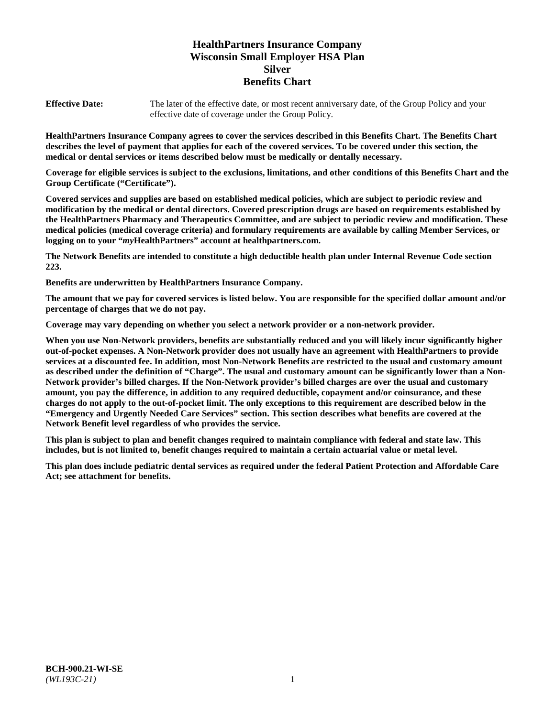# **HealthPartners Insurance Company Wisconsin Small Employer HSA Plan Silver Benefits Chart**

**Effective Date:** The later of the effective date, or most recent anniversary date, of the Group Policy and your effective date of coverage under the Group Policy.

**HealthPartners Insurance Company agrees to cover the services described in this Benefits Chart. The Benefits Chart describes the level of payment that applies for each of the covered services. To be covered under this section, the medical or dental services or items described below must be medically or dentally necessary.**

**Coverage for eligible services is subject to the exclusions, limitations, and other conditions of this Benefits Chart and the Group Certificate ("Certificate").**

**Covered services and supplies are based on established medical policies, which are subject to periodic review and modification by the medical or dental directors. Covered prescription drugs are based on requirements established by the HealthPartners Pharmacy and Therapeutics Committee, and are subject to periodic review and modification. These medical policies (medical coverage criteria) and formulary requirements are available by calling Member Services, or logging on to your "***my***HealthPartners" account at [healthpartners.com.](https://www.healthpartners.com/hp/index.html)**

**The Network Benefits are intended to constitute a high deductible health plan under Internal Revenue Code section 223.**

**Benefits are underwritten by HealthPartners Insurance Company.**

**The amount that we pay for covered services is listed below. You are responsible for the specified dollar amount and/or percentage of charges that we do not pay.**

**Coverage may vary depending on whether you select a network provider or a non-network provider.**

**When you use Non-Network providers, benefits are substantially reduced and you will likely incur significantly higher out-of-pocket expenses. A Non-Network provider does not usually have an agreement with HealthPartners to provide services at a discounted fee. In addition, most Non-Network Benefits are restricted to the usual and customary amount as described under the definition of "Charge". The usual and customary amount can be significantly lower than a Non-Network provider's billed charges. If the Non-Network provider's billed charges are over the usual and customary amount, you pay the difference, in addition to any required deductible, copayment and/or coinsurance, and these charges do not apply to the out-of-pocket limit. The only exceptions to this requirement are described below in the "Emergency and Urgently Needed Care Services" section. This section describes what benefits are covered at the Network Benefit level regardless of who provides the service.**

**This plan is subject to plan and benefit changes required to maintain compliance with federal and state law. This includes, but is not limited to, benefit changes required to maintain a certain actuarial value or metal level.**

**This plan does include pediatric dental services as required under the federal Patient Protection and Affordable Care Act; see attachment for benefits.**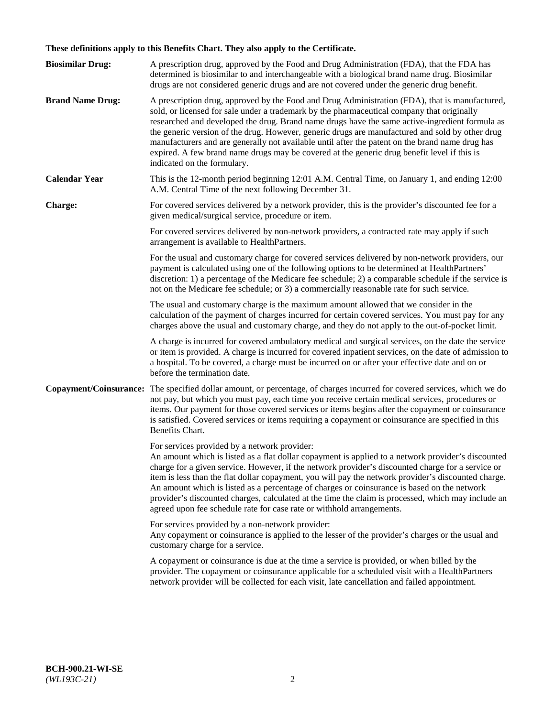# **These definitions apply to this Benefits Chart. They also apply to the Certificate.**

| <b>Biosimilar Drug:</b> | A prescription drug, approved by the Food and Drug Administration (FDA), that the FDA has<br>determined is biosimilar to and interchangeable with a biological brand name drug. Biosimilar<br>drugs are not considered generic drugs and are not covered under the generic drug benefit.                                                                                                                                                                                                                                                                                                                                                     |
|-------------------------|----------------------------------------------------------------------------------------------------------------------------------------------------------------------------------------------------------------------------------------------------------------------------------------------------------------------------------------------------------------------------------------------------------------------------------------------------------------------------------------------------------------------------------------------------------------------------------------------------------------------------------------------|
| <b>Brand Name Drug:</b> | A prescription drug, approved by the Food and Drug Administration (FDA), that is manufactured,<br>sold, or licensed for sale under a trademark by the pharmaceutical company that originally<br>researched and developed the drug. Brand name drugs have the same active-ingredient formula as<br>the generic version of the drug. However, generic drugs are manufactured and sold by other drug<br>manufacturers and are generally not available until after the patent on the brand name drug has<br>expired. A few brand name drugs may be covered at the generic drug benefit level if this is<br>indicated on the formulary.           |
| <b>Calendar Year</b>    | This is the 12-month period beginning 12:01 A.M. Central Time, on January 1, and ending 12:00<br>A.M. Central Time of the next following December 31.                                                                                                                                                                                                                                                                                                                                                                                                                                                                                        |
| <b>Charge:</b>          | For covered services delivered by a network provider, this is the provider's discounted fee for a<br>given medical/surgical service, procedure or item.                                                                                                                                                                                                                                                                                                                                                                                                                                                                                      |
|                         | For covered services delivered by non-network providers, a contracted rate may apply if such<br>arrangement is available to HealthPartners.                                                                                                                                                                                                                                                                                                                                                                                                                                                                                                  |
|                         | For the usual and customary charge for covered services delivered by non-network providers, our<br>payment is calculated using one of the following options to be determined at HealthPartners'<br>discretion: 1) a percentage of the Medicare fee schedule; 2) a comparable schedule if the service is<br>not on the Medicare fee schedule; or 3) a commercially reasonable rate for such service.                                                                                                                                                                                                                                          |
|                         | The usual and customary charge is the maximum amount allowed that we consider in the<br>calculation of the payment of charges incurred for certain covered services. You must pay for any<br>charges above the usual and customary charge, and they do not apply to the out-of-pocket limit.                                                                                                                                                                                                                                                                                                                                                 |
|                         | A charge is incurred for covered ambulatory medical and surgical services, on the date the service<br>or item is provided. A charge is incurred for covered inpatient services, on the date of admission to<br>a hospital. To be covered, a charge must be incurred on or after your effective date and on or<br>before the termination date.                                                                                                                                                                                                                                                                                                |
| Copayment/Coinsurance:  | The specified dollar amount, or percentage, of charges incurred for covered services, which we do<br>not pay, but which you must pay, each time you receive certain medical services, procedures or<br>items. Our payment for those covered services or items begins after the copayment or coinsurance<br>is satisfied. Covered services or items requiring a copayment or coinsurance are specified in this<br>Benefits Chart.                                                                                                                                                                                                             |
|                         | For services provided by a network provider:<br>An amount which is listed as a flat dollar copayment is applied to a network provider's discounted<br>charge for a given service. However, if the network provider's discounted charge for a service or<br>item is less than the flat dollar copayment, you will pay the network provider's discounted charge.<br>An amount which is listed as a percentage of charges or coinsurance is based on the network<br>provider's discounted charges, calculated at the time the claim is processed, which may include an<br>agreed upon fee schedule rate for case rate or withhold arrangements. |
|                         | For services provided by a non-network provider:<br>Any copayment or coinsurance is applied to the lesser of the provider's charges or the usual and<br>customary charge for a service.                                                                                                                                                                                                                                                                                                                                                                                                                                                      |
|                         | A copayment or coinsurance is due at the time a service is provided, or when billed by the<br>provider. The copayment or coinsurance applicable for a scheduled visit with a HealthPartners<br>network provider will be collected for each visit, late cancellation and failed appointment.                                                                                                                                                                                                                                                                                                                                                  |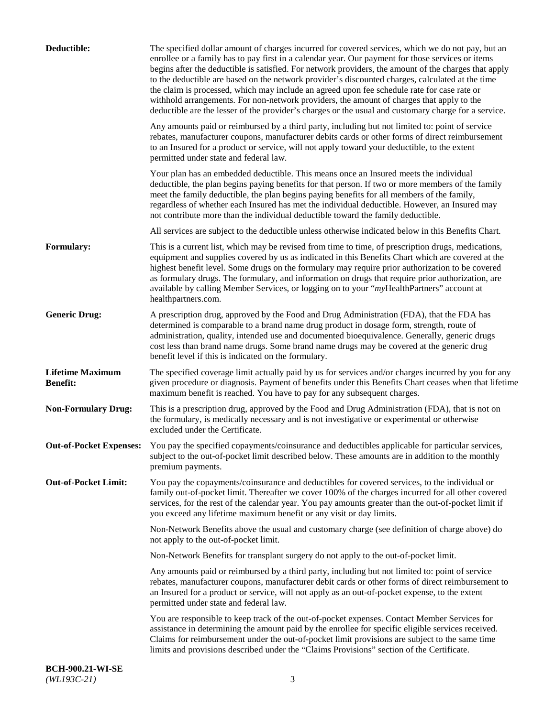| Deductible:                                | The specified dollar amount of charges incurred for covered services, which we do not pay, but an<br>enrollee or a family has to pay first in a calendar year. Our payment for those services or items<br>begins after the deductible is satisfied. For network providers, the amount of the charges that apply<br>to the deductible are based on the network provider's discounted charges, calculated at the time<br>the claim is processed, which may include an agreed upon fee schedule rate for case rate or<br>withhold arrangements. For non-network providers, the amount of charges that apply to the<br>deductible are the lesser of the provider's charges or the usual and customary charge for a service. |
|--------------------------------------------|-------------------------------------------------------------------------------------------------------------------------------------------------------------------------------------------------------------------------------------------------------------------------------------------------------------------------------------------------------------------------------------------------------------------------------------------------------------------------------------------------------------------------------------------------------------------------------------------------------------------------------------------------------------------------------------------------------------------------|
|                                            | Any amounts paid or reimbursed by a third party, including but not limited to: point of service<br>rebates, manufacturer coupons, manufacturer debits cards or other forms of direct reimbursement<br>to an Insured for a product or service, will not apply toward your deductible, to the extent<br>permitted under state and federal law.                                                                                                                                                                                                                                                                                                                                                                            |
|                                            | Your plan has an embedded deductible. This means once an Insured meets the individual<br>deductible, the plan begins paying benefits for that person. If two or more members of the family<br>meet the family deductible, the plan begins paying benefits for all members of the family,<br>regardless of whether each Insured has met the individual deductible. However, an Insured may<br>not contribute more than the individual deductible toward the family deductible.                                                                                                                                                                                                                                           |
|                                            | All services are subject to the deductible unless otherwise indicated below in this Benefits Chart.                                                                                                                                                                                                                                                                                                                                                                                                                                                                                                                                                                                                                     |
| <b>Formulary:</b>                          | This is a current list, which may be revised from time to time, of prescription drugs, medications,<br>equipment and supplies covered by us as indicated in this Benefits Chart which are covered at the<br>highest benefit level. Some drugs on the formulary may require prior authorization to be covered<br>as formulary drugs. The formulary, and information on drugs that require prior authorization, are<br>available by calling Member Services, or logging on to your "myHealthPartners" account at<br>healthpartners.com.                                                                                                                                                                                   |
| <b>Generic Drug:</b>                       | A prescription drug, approved by the Food and Drug Administration (FDA), that the FDA has<br>determined is comparable to a brand name drug product in dosage form, strength, route of<br>administration, quality, intended use and documented bioequivalence. Generally, generic drugs<br>cost less than brand name drugs. Some brand name drugs may be covered at the generic drug<br>benefit level if this is indicated on the formulary.                                                                                                                                                                                                                                                                             |
| <b>Lifetime Maximum</b><br><b>Benefit:</b> | The specified coverage limit actually paid by us for services and/or charges incurred by you for any<br>given procedure or diagnosis. Payment of benefits under this Benefits Chart ceases when that lifetime<br>maximum benefit is reached. You have to pay for any subsequent charges.                                                                                                                                                                                                                                                                                                                                                                                                                                |
| <b>Non-Formulary Drug:</b>                 | This is a prescription drug, approved by the Food and Drug Administration (FDA), that is not on<br>the formulary, is medically necessary and is not investigative or experimental or otherwise<br>excluded under the Certificate.                                                                                                                                                                                                                                                                                                                                                                                                                                                                                       |
|                                            | Out-of-Pocket Expenses: You pay the specified copayments/coinsurance and deductibles applicable for particular services,<br>subject to the out-of-pocket limit described below. These amounts are in addition to the monthly<br>premium payments.                                                                                                                                                                                                                                                                                                                                                                                                                                                                       |
| <b>Out-of-Pocket Limit:</b>                | You pay the copayments/coinsurance and deductibles for covered services, to the individual or<br>family out-of-pocket limit. Thereafter we cover 100% of the charges incurred for all other covered<br>services, for the rest of the calendar year. You pay amounts greater than the out-of-pocket limit if<br>you exceed any lifetime maximum benefit or any visit or day limits.                                                                                                                                                                                                                                                                                                                                      |
|                                            | Non-Network Benefits above the usual and customary charge (see definition of charge above) do<br>not apply to the out-of-pocket limit.                                                                                                                                                                                                                                                                                                                                                                                                                                                                                                                                                                                  |
|                                            | Non-Network Benefits for transplant surgery do not apply to the out-of-pocket limit.                                                                                                                                                                                                                                                                                                                                                                                                                                                                                                                                                                                                                                    |
|                                            | Any amounts paid or reimbursed by a third party, including but not limited to: point of service<br>rebates, manufacturer coupons, manufacturer debit cards or other forms of direct reimbursement to<br>an Insured for a product or service, will not apply as an out-of-pocket expense, to the extent<br>permitted under state and federal law.                                                                                                                                                                                                                                                                                                                                                                        |
|                                            | You are responsible to keep track of the out-of-pocket expenses. Contact Member Services for<br>assistance in determining the amount paid by the enrollee for specific eligible services received.<br>Claims for reimbursement under the out-of-pocket limit provisions are subject to the same time<br>limits and provisions described under the "Claims Provisions" section of the Certificate.                                                                                                                                                                                                                                                                                                                       |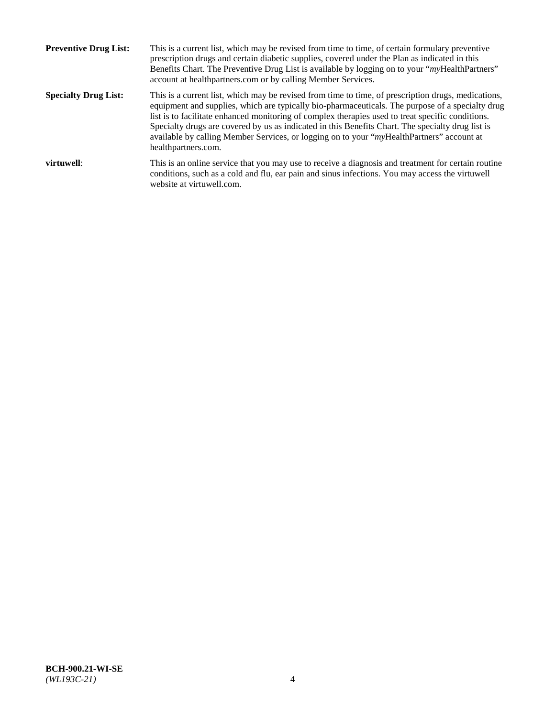| <b>Preventive Drug List:</b> | This is a current list, which may be revised from time to time, of certain formulary preventive<br>prescription drugs and certain diabetic supplies, covered under the Plan as indicated in this<br>Benefits Chart. The Preventive Drug List is available by logging on to your "myHealthPartners"<br>account at healthpartners.com or by calling Member Services.                                                                                                                                                                    |
|------------------------------|---------------------------------------------------------------------------------------------------------------------------------------------------------------------------------------------------------------------------------------------------------------------------------------------------------------------------------------------------------------------------------------------------------------------------------------------------------------------------------------------------------------------------------------|
| <b>Specialty Drug List:</b>  | This is a current list, which may be revised from time to time, of prescription drugs, medications,<br>equipment and supplies, which are typically bio-pharmaceuticals. The purpose of a specialty drug<br>list is to facilitate enhanced monitoring of complex therapies used to treat specific conditions.<br>Specialty drugs are covered by us as indicated in this Benefits Chart. The specialty drug list is<br>available by calling Member Services, or logging on to your "myHealthPartners" account at<br>healthpartners.com. |
| virtuwell:                   | This is an online service that you may use to receive a diagnosis and treatment for certain routine<br>conditions, such as a cold and flu, ear pain and sinus infections. You may access the virtuwell<br>website at virtuwell.com.                                                                                                                                                                                                                                                                                                   |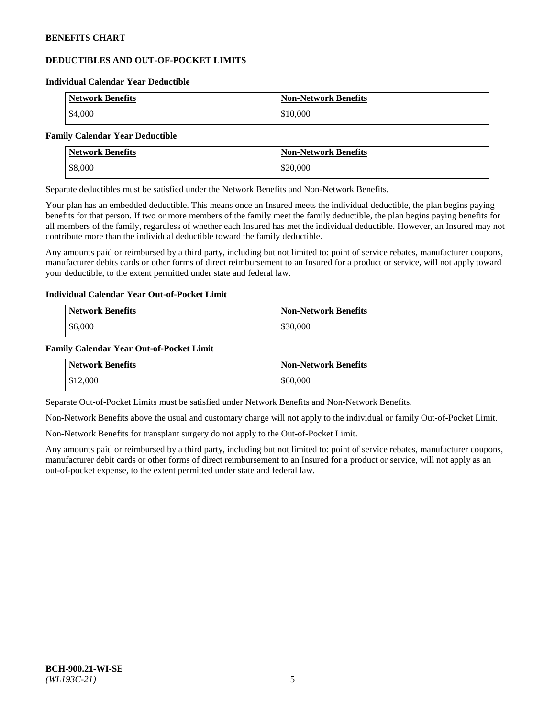# **DEDUCTIBLES AND OUT-OF-POCKET LIMITS**

#### **Individual Calendar Year Deductible**

| <b>Network Benefits</b> | <b>Non-Network Benefits</b> |
|-------------------------|-----------------------------|
| \$4,000                 | \$10,000                    |

#### **Family Calendar Year Deductible**

| <b>Network Benefits</b> | <b>Non-Network Benefits</b> |
|-------------------------|-----------------------------|
| \$8,000                 | \$20,000                    |

Separate deductibles must be satisfied under the Network Benefits and Non-Network Benefits.

Your plan has an embedded deductible. This means once an Insured meets the individual deductible, the plan begins paying benefits for that person. If two or more members of the family meet the family deductible, the plan begins paying benefits for all members of the family, regardless of whether each Insured has met the individual deductible. However, an Insured may not contribute more than the individual deductible toward the family deductible.

Any amounts paid or reimbursed by a third party, including but not limited to: point of service rebates, manufacturer coupons, manufacturer debits cards or other forms of direct reimbursement to an Insured for a product or service, will not apply toward your deductible, to the extent permitted under state and federal law.

#### **Individual Calendar Year Out-of-Pocket Limit**

| <b>Network Benefits</b> | <b>Non-Network Benefits</b> |
|-------------------------|-----------------------------|
| \$6,000                 | \$30,000                    |

#### **Family Calendar Year Out-of-Pocket Limit**

| <b>Network Benefits</b> | <b>Non-Network Benefits</b> |
|-------------------------|-----------------------------|
| \$12,000                | \$60,000                    |

Separate Out-of-Pocket Limits must be satisfied under Network Benefits and Non-Network Benefits.

Non-Network Benefits above the usual and customary charge will not apply to the individual or family Out-of-Pocket Limit.

Non-Network Benefits for transplant surgery do not apply to the Out-of-Pocket Limit.

Any amounts paid or reimbursed by a third party, including but not limited to: point of service rebates, manufacturer coupons, manufacturer debit cards or other forms of direct reimbursement to an Insured for a product or service, will not apply as an out-of-pocket expense, to the extent permitted under state and federal law.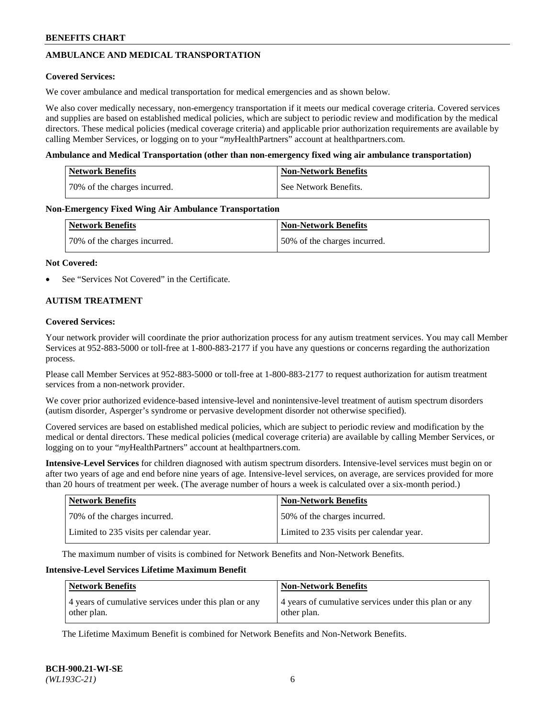# **AMBULANCE AND MEDICAL TRANSPORTATION**

### **Covered Services:**

We cover ambulance and medical transportation for medical emergencies and as shown below.

We also cover medically necessary, non-emergency transportation if it meets our medical coverage criteria. Covered services and supplies are based on established medical policies, which are subject to periodic review and modification by the medical directors. These medical policies (medical coverage criteria) and applicable prior authorization requirements are available by calling Member Services, or logging on to your "*my*HealthPartners" account a[t healthpartners.com.](https://www.healthpartners.com/hp/index.html)

### **Ambulance and Medical Transportation (other than non-emergency fixed wing air ambulance transportation)**

| <b>Network Benefits</b>      | <b>Non-Network Benefits</b> |
|------------------------------|-----------------------------|
| 70% of the charges incurred. | See Network Benefits.       |

### **Non-Emergency Fixed Wing Air Ambulance Transportation**

| <b>Network Benefits</b>      | <b>Non-Network Benefits</b>  |
|------------------------------|------------------------------|
| 70% of the charges incurred. | 50% of the charges incurred. |

### **Not Covered:**

See "Services Not Covered" in the Certificate.

## **AUTISM TREATMENT**

### **Covered Services:**

Your network provider will coordinate the prior authorization process for any autism treatment services. You may call Member Services at 952-883-5000 or toll-free at 1-800-883-2177 if you have any questions or concerns regarding the authorization process.

Please call Member Services at 952-883-5000 or toll-free at 1-800-883-2177 to request authorization for autism treatment services from a non-network provider.

We cover prior authorized evidence-based intensive-level and nonintensive-level treatment of autism spectrum disorders (autism disorder, Asperger's syndrome or pervasive development disorder not otherwise specified).

Covered services are based on established medical policies, which are subject to periodic review and modification by the medical or dental directors. These medical policies (medical coverage criteria) are available by calling Member Services, or logging on to your "*my*HealthPartners" account at [healthpartners.com.](https://www.healthpartners.com/hp/index.html)

**Intensive-Level Services** for children diagnosed with autism spectrum disorders. Intensive-level services must begin on or after two years of age and end before nine years of age. Intensive-level services, on average, are services provided for more than 20 hours of treatment per week. (The average number of hours a week is calculated over a six-month period.)

| Network Benefits                         | <b>Non-Network Benefits</b>              |
|------------------------------------------|------------------------------------------|
| 70% of the charges incurred.             | 50% of the charges incurred.             |
| Limited to 235 visits per calendar year. | Limited to 235 visits per calendar year. |

The maximum number of visits is combined for Network Benefits and Non-Network Benefits.

### **Intensive-Level Services Lifetime Maximum Benefit**

| <b>Network Benefits</b>                                              | <b>Non-Network Benefits</b>                                          |
|----------------------------------------------------------------------|----------------------------------------------------------------------|
| 4 years of cumulative services under this plan or any<br>other plan. | 4 years of cumulative services under this plan or any<br>other plan. |

The Lifetime Maximum Benefit is combined for Network Benefits and Non-Network Benefits.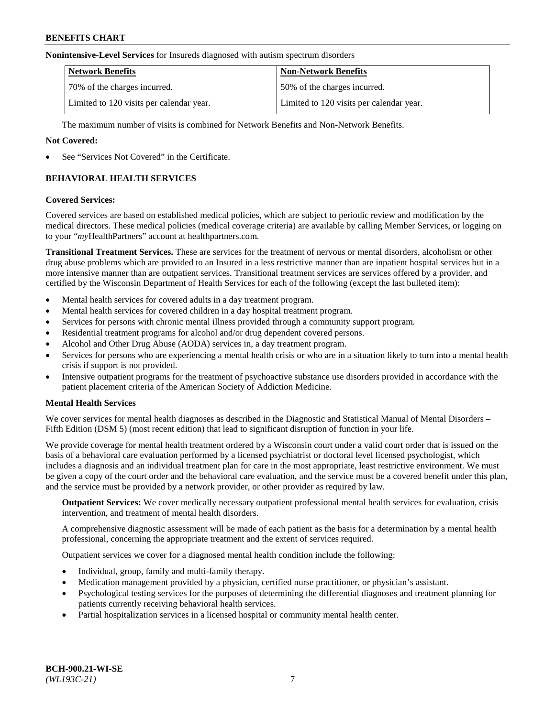### **Nonintensive-Level Services** for Insureds diagnosed with autism spectrum disorders

| <b>Network Benefits</b>                  | <b>Non-Network Benefits</b>              |
|------------------------------------------|------------------------------------------|
| 70% of the charges incurred.             | 50% of the charges incurred.             |
| Limited to 120 visits per calendar year. | Limited to 120 visits per calendar year. |

The maximum number of visits is combined for Network Benefits and Non-Network Benefits.

### **Not Covered:**

See "Services Not Covered" in the Certificate.

# **BEHAVIORAL HEALTH SERVICES**

### **Covered Services:**

Covered services are based on established medical policies, which are subject to periodic review and modification by the medical directors. These medical policies (medical coverage criteria) are available by calling Member Services, or logging on to your "*my*HealthPartners" account at [healthpartners.com.](https://www.healthpartners.com/hp/index.html)

**Transitional Treatment Services.** These are services for the treatment of nervous or mental disorders, alcoholism or other drug abuse problems which are provided to an Insured in a less restrictive manner than are inpatient hospital services but in a more intensive manner than are outpatient services. Transitional treatment services are services offered by a provider, and certified by the Wisconsin Department of Health Services for each of the following (except the last bulleted item):

- Mental health services for covered adults in a day treatment program.
- Mental health services for covered children in a day hospital treatment program.
- Services for persons with chronic mental illness provided through a community support program.
- Residential treatment programs for alcohol and/or drug dependent covered persons.
- Alcohol and Other Drug Abuse (AODA) services in, a day treatment program.
- Services for persons who are experiencing a mental health crisis or who are in a situation likely to turn into a mental health crisis if support is not provided.
- Intensive outpatient programs for the treatment of psychoactive substance use disorders provided in accordance with the patient placement criteria of the American Society of Addiction Medicine.

## **Mental Health Services**

We cover services for mental health diagnoses as described in the Diagnostic and Statistical Manual of Mental Disorders – Fifth Edition (DSM 5) (most recent edition) that lead to significant disruption of function in your life.

We provide coverage for mental health treatment ordered by a Wisconsin court under a valid court order that is issued on the basis of a behavioral care evaluation performed by a licensed psychiatrist or doctoral level licensed psychologist, which includes a diagnosis and an individual treatment plan for care in the most appropriate, least restrictive environment. We must be given a copy of the court order and the behavioral care evaluation, and the service must be a covered benefit under this plan, and the service must be provided by a network provider, or other provider as required by law.

**Outpatient Services:** We cover medically necessary outpatient professional mental health services for evaluation, crisis intervention, and treatment of mental health disorders.

A comprehensive diagnostic assessment will be made of each patient as the basis for a determination by a mental health professional, concerning the appropriate treatment and the extent of services required.

Outpatient services we cover for a diagnosed mental health condition include the following:

- Individual, group, family and multi-family therapy.
- Medication management provided by a physician, certified nurse practitioner, or physician's assistant.
- Psychological testing services for the purposes of determining the differential diagnoses and treatment planning for patients currently receiving behavioral health services.
- Partial hospitalization services in a licensed hospital or community mental health center.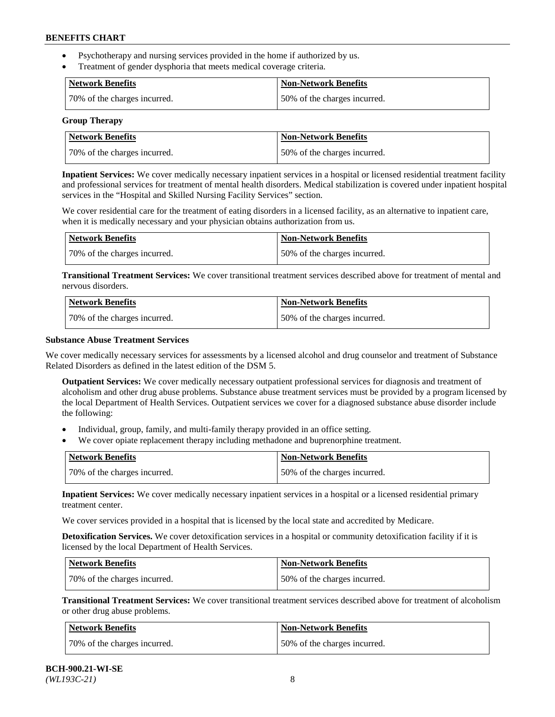- Psychotherapy and nursing services provided in the home if authorized by us.
- Treatment of gender dysphoria that meets medical coverage criteria.

| Network Benefits             | Non-Network Benefits         |
|------------------------------|------------------------------|
| 70% of the charges incurred. | 50% of the charges incurred. |

#### **Group Therapy**

| Network Benefits             | Non-Network Benefits         |
|------------------------------|------------------------------|
| 70% of the charges incurred. | 50% of the charges incurred. |

**Inpatient Services:** We cover medically necessary inpatient services in a hospital or licensed residential treatment facility and professional services for treatment of mental health disorders. Medical stabilization is covered under inpatient hospital services in the "Hospital and Skilled Nursing Facility Services" section.

We cover residential care for the treatment of eating disorders in a licensed facility, as an alternative to inpatient care, when it is medically necessary and your physician obtains authorization from us.

| <b>Network Benefits</b>      | <b>Non-Network Benefits</b>  |
|------------------------------|------------------------------|
| 70% of the charges incurred. | 50% of the charges incurred. |

**Transitional Treatment Services:** We cover transitional treatment services described above for treatment of mental and nervous disorders.

| Network Benefits             | Non-Network Benefits         |
|------------------------------|------------------------------|
| 70% of the charges incurred. | 50% of the charges incurred. |

### **Substance Abuse Treatment Services**

We cover medically necessary services for assessments by a licensed alcohol and drug counselor and treatment of Substance Related Disorders as defined in the latest edition of the DSM 5.

**Outpatient Services:** We cover medically necessary outpatient professional services for diagnosis and treatment of alcoholism and other drug abuse problems. Substance abuse treatment services must be provided by a program licensed by the local Department of Health Services. Outpatient services we cover for a diagnosed substance abuse disorder include the following:

- Individual, group, family, and multi-family therapy provided in an office setting.
- We cover opiate replacement therapy including methadone and buprenorphine treatment.

| <b>Network Benefits</b>      | <b>Non-Network Benefits</b>  |
|------------------------------|------------------------------|
| 70% of the charges incurred. | 50% of the charges incurred. |

**Inpatient Services:** We cover medically necessary inpatient services in a hospital or a licensed residential primary treatment center.

We cover services provided in a hospital that is licensed by the local state and accredited by Medicare.

**Detoxification Services.** We cover detoxification services in a hospital or community detoxification facility if it is licensed by the local Department of Health Services.

| Network Benefits             | <b>Non-Network Benefits</b>  |
|------------------------------|------------------------------|
| 70% of the charges incurred. | 50% of the charges incurred. |

**Transitional Treatment Services:** We cover transitional treatment services described above for treatment of alcoholism or other drug abuse problems.

| Network Benefits             | <b>Non-Network Benefits</b>  |
|------------------------------|------------------------------|
| 70% of the charges incurred. | 50% of the charges incurred. |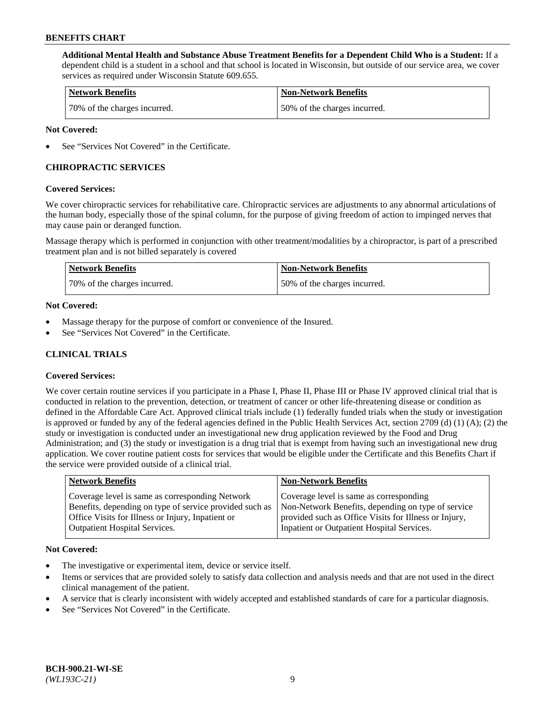**Additional Mental Health and Substance Abuse Treatment Benefits for a Dependent Child Who is a Student:** If a dependent child is a student in a school and that school is located in Wisconsin, but outside of our service area, we cover services as required under Wisconsin Statute 609.655.

| <b>Network Benefits</b>      | <b>Non-Network Benefits</b>  |
|------------------------------|------------------------------|
| 70% of the charges incurred. | 50% of the charges incurred. |

### **Not Covered:**

See "Services Not Covered" in the Certificate.

# **CHIROPRACTIC SERVICES**

### **Covered Services:**

We cover chiropractic services for rehabilitative care. Chiropractic services are adjustments to any abnormal articulations of the human body, especially those of the spinal column, for the purpose of giving freedom of action to impinged nerves that may cause pain or deranged function.

Massage therapy which is performed in conjunction with other treatment/modalities by a chiropractor, is part of a prescribed treatment plan and is not billed separately is covered

| Network Benefits             | <b>Non-Network Benefits</b>  |
|------------------------------|------------------------------|
| 70% of the charges incurred. | 50% of the charges incurred. |

### **Not Covered:**

- Massage therapy for the purpose of comfort or convenience of the Insured.
- See "Services Not Covered" in the Certificate.

# **CLINICAL TRIALS**

## **Covered Services:**

We cover certain routine services if you participate in a Phase I, Phase II, Phase III or Phase IV approved clinical trial that is conducted in relation to the prevention, detection, or treatment of cancer or other life-threatening disease or condition as defined in the Affordable Care Act. Approved clinical trials include (1) federally funded trials when the study or investigation is approved or funded by any of the federal agencies defined in the Public Health Services Act, section 2709 (d) (1) (A); (2) the study or investigation is conducted under an investigational new drug application reviewed by the Food and Drug Administration; and (3) the study or investigation is a drug trial that is exempt from having such an investigational new drug application. We cover routine patient costs for services that would be eligible under the Certificate and this Benefits Chart if the service were provided outside of a clinical trial.

| <b>Network Benefits</b>                                                                                                                                                                                 | <b>Non-Network Benefits</b>                                                                                                                                                                          |
|---------------------------------------------------------------------------------------------------------------------------------------------------------------------------------------------------------|------------------------------------------------------------------------------------------------------------------------------------------------------------------------------------------------------|
| Coverage level is same as corresponding Network<br>Benefits, depending on type of service provided such as<br>Office Visits for Illness or Injury, Inpatient or<br><b>Outpatient Hospital Services.</b> | Coverage level is same as corresponding<br>Non-Network Benefits, depending on type of service<br>provided such as Office Visits for Illness or Injury,<br>Inpatient or Outpatient Hospital Services. |
|                                                                                                                                                                                                         |                                                                                                                                                                                                      |

#### **Not Covered:**

- The investigative or experimental item, device or service itself.
- Items or services that are provided solely to satisfy data collection and analysis needs and that are not used in the direct clinical management of the patient.
- A service that is clearly inconsistent with widely accepted and established standards of care for a particular diagnosis.
- See "Services Not Covered" in the Certificate.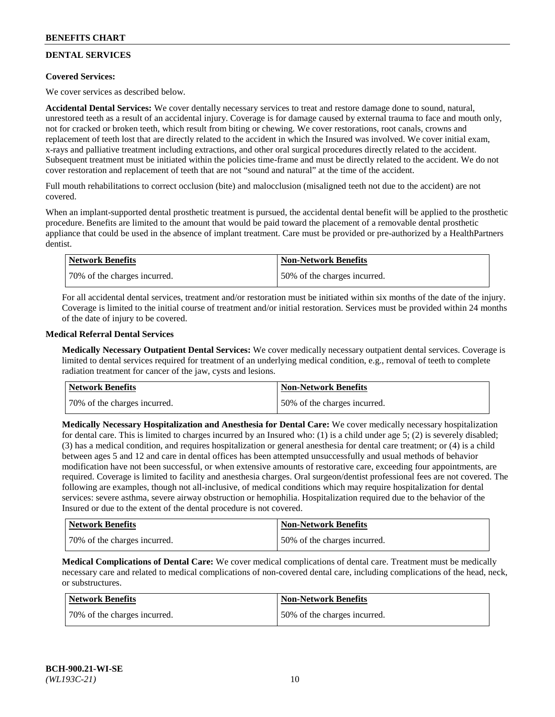# **DENTAL SERVICES**

## **Covered Services:**

We cover services as described below.

**Accidental Dental Services:** We cover dentally necessary services to treat and restore damage done to sound, natural, unrestored teeth as a result of an accidental injury. Coverage is for damage caused by external trauma to face and mouth only, not for cracked or broken teeth, which result from biting or chewing. We cover restorations, root canals, crowns and replacement of teeth lost that are directly related to the accident in which the Insured was involved. We cover initial exam, x-rays and palliative treatment including extractions, and other oral surgical procedures directly related to the accident. Subsequent treatment must be initiated within the policies time-frame and must be directly related to the accident. We do not cover restoration and replacement of teeth that are not "sound and natural" at the time of the accident.

Full mouth rehabilitations to correct occlusion (bite) and malocclusion (misaligned teeth not due to the accident) are not covered.

When an implant-supported dental prosthetic treatment is pursued, the accidental dental benefit will be applied to the prosthetic procedure. Benefits are limited to the amount that would be paid toward the placement of a removable dental prosthetic appliance that could be used in the absence of implant treatment. Care must be provided or pre-authorized by a HealthPartners dentist.

| Network Benefits             | <b>Non-Network Benefits</b>  |
|------------------------------|------------------------------|
| 70% of the charges incurred. | 50% of the charges incurred. |

For all accidental dental services, treatment and/or restoration must be initiated within six months of the date of the injury. Coverage is limited to the initial course of treatment and/or initial restoration. Services must be provided within 24 months of the date of injury to be covered.

### **Medical Referral Dental Services**

**Medically Necessary Outpatient Dental Services:** We cover medically necessary outpatient dental services. Coverage is limited to dental services required for treatment of an underlying medical condition, e.g., removal of teeth to complete radiation treatment for cancer of the jaw, cysts and lesions.

| <b>Network Benefits</b>      | <b>Non-Network Benefits</b>  |
|------------------------------|------------------------------|
| 70% of the charges incurred. | 50% of the charges incurred. |

**Medically Necessary Hospitalization and Anesthesia for Dental Care:** We cover medically necessary hospitalization for dental care. This is limited to charges incurred by an Insured who: (1) is a child under age  $5$ ; (2) is severely disabled; (3) has a medical condition, and requires hospitalization or general anesthesia for dental care treatment; or (4) is a child between ages 5 and 12 and care in dental offices has been attempted unsuccessfully and usual methods of behavior modification have not been successful, or when extensive amounts of restorative care, exceeding four appointments, are required. Coverage is limited to facility and anesthesia charges. Oral surgeon/dentist professional fees are not covered. The following are examples, though not all-inclusive, of medical conditions which may require hospitalization for dental services: severe asthma, severe airway obstruction or hemophilia. Hospitalization required due to the behavior of the Insured or due to the extent of the dental procedure is not covered.

| Network Benefits             | <b>Non-Network Benefits</b>  |
|------------------------------|------------------------------|
| 70% of the charges incurred. | 50% of the charges incurred. |

**Medical Complications of Dental Care:** We cover medical complications of dental care. Treatment must be medically necessary care and related to medical complications of non-covered dental care, including complications of the head, neck, or substructures.

| Network Benefits             | Non-Network Benefits         |
|------------------------------|------------------------------|
| 70% of the charges incurred. | 50% of the charges incurred. |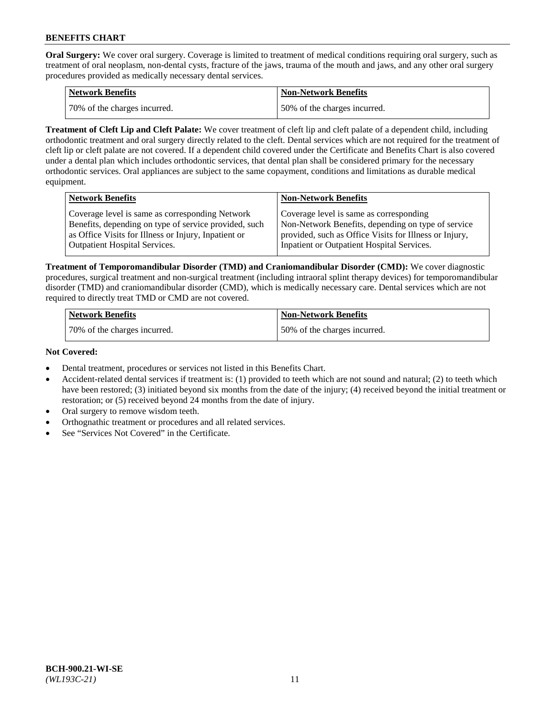**Oral Surgery:** We cover oral surgery. Coverage is limited to treatment of medical conditions requiring oral surgery, such as treatment of oral neoplasm, non-dental cysts, fracture of the jaws, trauma of the mouth and jaws, and any other oral surgery procedures provided as medically necessary dental services.

| <b>Network Benefits</b>       | <b>Non-Network Benefits</b>  |
|-------------------------------|------------------------------|
| 170% of the charges incurred. | 50% of the charges incurred. |

**Treatment of Cleft Lip and Cleft Palate:** We cover treatment of cleft lip and cleft palate of a dependent child, including orthodontic treatment and oral surgery directly related to the cleft. Dental services which are not required for the treatment of cleft lip or cleft palate are not covered. If a dependent child covered under the Certificate and Benefits Chart is also covered under a dental plan which includes orthodontic services, that dental plan shall be considered primary for the necessary orthodontic services. Oral appliances are subject to the same copayment, conditions and limitations as durable medical equipment.

| <b>Network Benefits</b>                               | <b>Non-Network Benefits</b>                            |
|-------------------------------------------------------|--------------------------------------------------------|
| Coverage level is same as corresponding Network       | Coverage level is same as corresponding                |
| Benefits, depending on type of service provided, such | Non-Network Benefits, depending on type of service     |
| as Office Visits for Illness or Injury, Inpatient or  | provided, such as Office Visits for Illness or Injury, |
| Outpatient Hospital Services.                         | Inpatient or Outpatient Hospital Services.             |

**Treatment of Temporomandibular Disorder (TMD) and Craniomandibular Disorder (CMD):** We cover diagnostic procedures, surgical treatment and non-surgical treatment (including intraoral splint therapy devices) for temporomandibular disorder (TMD) and craniomandibular disorder (CMD), which is medically necessary care. Dental services which are not required to directly treat TMD or CMD are not covered.

| <b>Network Benefits</b>      | <b>Non-Network Benefits</b>  |
|------------------------------|------------------------------|
| 70% of the charges incurred. | 50% of the charges incurred. |

### **Not Covered:**

- Dental treatment, procedures or services not listed in this Benefits Chart.
- Accident-related dental services if treatment is: (1) provided to teeth which are not sound and natural; (2) to teeth which have been restored; (3) initiated beyond six months from the date of the injury; (4) received beyond the initial treatment or restoration; or (5) received beyond 24 months from the date of injury.
- Oral surgery to remove wisdom teeth.
- Orthognathic treatment or procedures and all related services.
- See "Services Not Covered" in the Certificate.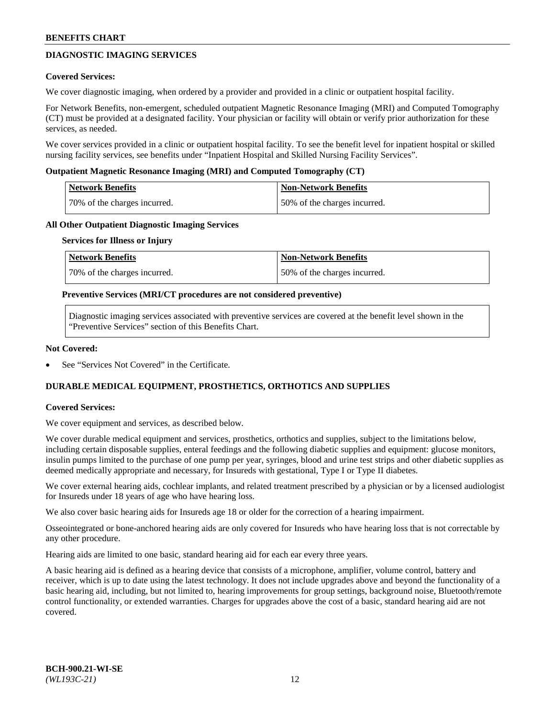# **DIAGNOSTIC IMAGING SERVICES**

### **Covered Services:**

We cover diagnostic imaging, when ordered by a provider and provided in a clinic or outpatient hospital facility.

For Network Benefits, non-emergent, scheduled outpatient Magnetic Resonance Imaging (MRI) and Computed Tomography (CT) must be provided at a designated facility. Your physician or facility will obtain or verify prior authorization for these services, as needed.

We cover services provided in a clinic or outpatient hospital facility. To see the benefit level for inpatient hospital or skilled nursing facility services, see benefits under "Inpatient Hospital and Skilled Nursing Facility Services".

### **Outpatient Magnetic Resonance Imaging (MRI) and Computed Tomography (CT)**

| <b>Network Benefits</b>      | <b>Non-Network Benefits</b>  |
|------------------------------|------------------------------|
| 70% of the charges incurred. | 50% of the charges incurred. |

### **All Other Outpatient Diagnostic Imaging Services**

#### **Services for Illness or Injury**

| Network Benefits             | <b>Non-Network Benefits</b>  |
|------------------------------|------------------------------|
| 70% of the charges incurred. | 50% of the charges incurred. |

### **Preventive Services (MRI/CT procedures are not considered preventive)**

Diagnostic imaging services associated with preventive services are covered at the benefit level shown in the "Preventive Services" section of this Benefits Chart.

### **Not Covered:**

See "Services Not Covered" in the Certificate.

# **DURABLE MEDICAL EQUIPMENT, PROSTHETICS, ORTHOTICS AND SUPPLIES**

#### **Covered Services:**

We cover equipment and services, as described below.

We cover durable medical equipment and services, prosthetics, orthotics and supplies, subject to the limitations below, including certain disposable supplies, enteral feedings and the following diabetic supplies and equipment: glucose monitors, insulin pumps limited to the purchase of one pump per year, syringes, blood and urine test strips and other diabetic supplies as deemed medically appropriate and necessary, for Insureds with gestational, Type I or Type II diabetes.

We cover external hearing aids, cochlear implants, and related treatment prescribed by a physician or by a licensed audiologist for Insureds under 18 years of age who have hearing loss.

We also cover basic hearing aids for Insureds age 18 or older for the correction of a hearing impairment.

Osseointegrated or bone-anchored hearing aids are only covered for Insureds who have hearing loss that is not correctable by any other procedure.

Hearing aids are limited to one basic, standard hearing aid for each ear every three years.

A basic hearing aid is defined as a hearing device that consists of a microphone, amplifier, volume control, battery and receiver, which is up to date using the latest technology. It does not include upgrades above and beyond the functionality of a basic hearing aid, including, but not limited to, hearing improvements for group settings, background noise, Bluetooth/remote control functionality, or extended warranties. Charges for upgrades above the cost of a basic, standard hearing aid are not covered.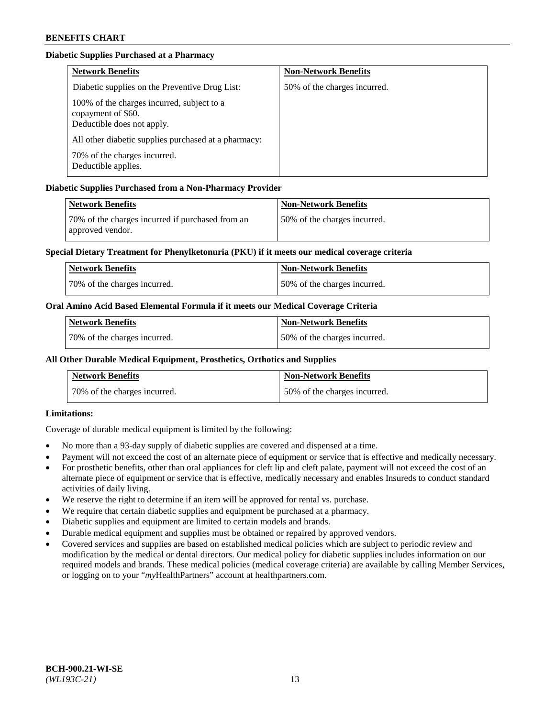# **Diabetic Supplies Purchased at a Pharmacy**

| <b>Network Benefits</b>                                                                        | <b>Non-Network Benefits</b>  |
|------------------------------------------------------------------------------------------------|------------------------------|
| Diabetic supplies on the Preventive Drug List:                                                 | 50% of the charges incurred. |
| 100% of the charges incurred, subject to a<br>copayment of \$60.<br>Deductible does not apply. |                              |
| All other diabetic supplies purchased at a pharmacy:                                           |                              |
| 70% of the charges incurred.<br>Deductible applies.                                            |                              |

# **Diabetic Supplies Purchased from a Non-Pharmacy Provider**

| Network Benefits                                                     | <b>Non-Network Benefits</b>  |
|----------------------------------------------------------------------|------------------------------|
| 70% of the charges incurred if purchased from an<br>approved vendor. | 50% of the charges incurred. |

## **Special Dietary Treatment for Phenylketonuria (PKU) if it meets our medical coverage criteria**

| Network Benefits             | <b>Non-Network Benefits</b>  |
|------------------------------|------------------------------|
| 70% of the charges incurred. | 50% of the charges incurred. |

## **Oral Amino Acid Based Elemental Formula if it meets our Medical Coverage Criteria**

| <b>Network Benefits</b>      | <b>Non-Network Benefits</b>  |
|------------------------------|------------------------------|
| 70% of the charges incurred. | 50% of the charges incurred. |

# **All Other Durable Medical Equipment, Prosthetics, Orthotics and Supplies**

| <b>Network Benefits</b>      | <b>Non-Network Benefits</b>  |
|------------------------------|------------------------------|
| 70% of the charges incurred. | 50% of the charges incurred. |

## **Limitations:**

Coverage of durable medical equipment is limited by the following:

- No more than a 93-day supply of diabetic supplies are covered and dispensed at a time.
- Payment will not exceed the cost of an alternate piece of equipment or service that is effective and medically necessary.
- For prosthetic benefits, other than oral appliances for cleft lip and cleft palate, payment will not exceed the cost of an alternate piece of equipment or service that is effective, medically necessary and enables Insureds to conduct standard activities of daily living.
- We reserve the right to determine if an item will be approved for rental vs. purchase.
- We require that certain diabetic supplies and equipment be purchased at a pharmacy.
- Diabetic supplies and equipment are limited to certain models and brands.
- Durable medical equipment and supplies must be obtained or repaired by approved vendors.
- Covered services and supplies are based on established medical policies which are subject to periodic review and modification by the medical or dental directors. Our medical policy for diabetic supplies includes information on our required models and brands. These medical policies (medical coverage criteria) are available by calling Member Services, or logging on to your "*my*HealthPartners" account a[t healthpartners.com.](https://www.healthpartners.com/hp/index.html)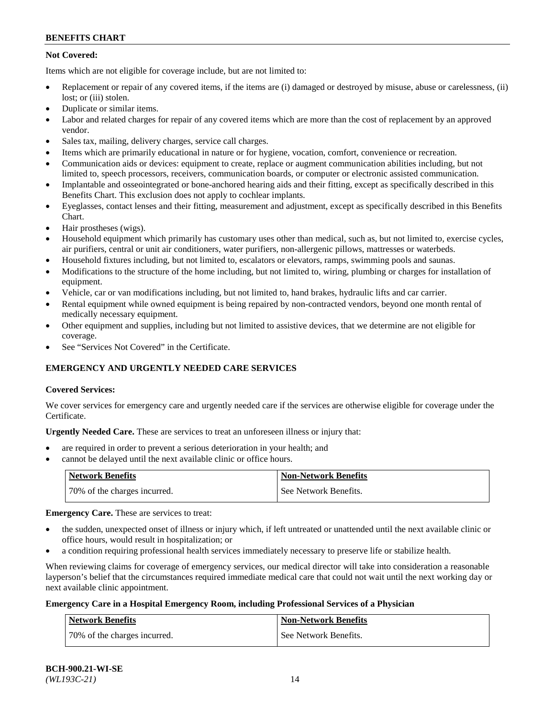# **Not Covered:**

Items which are not eligible for coverage include, but are not limited to:

- Replacement or repair of any covered items, if the items are (i) damaged or destroyed by misuse, abuse or carelessness, (ii) lost; or (iii) stolen.
- Duplicate or similar items.
- Labor and related charges for repair of any covered items which are more than the cost of replacement by an approved vendor.
- Sales tax, mailing, delivery charges, service call charges.
- Items which are primarily educational in nature or for hygiene, vocation, comfort, convenience or recreation.
- Communication aids or devices: equipment to create, replace or augment communication abilities including, but not limited to, speech processors, receivers, communication boards, or computer or electronic assisted communication.
- Implantable and osseointegrated or bone-anchored hearing aids and their fitting, except as specifically described in this Benefits Chart. This exclusion does not apply to cochlear implants.
- Eyeglasses, contact lenses and their fitting, measurement and adjustment, except as specifically described in this Benefits Chart.
- Hair prostheses (wigs).
- Household equipment which primarily has customary uses other than medical, such as, but not limited to, exercise cycles, air purifiers, central or unit air conditioners, water purifiers, non-allergenic pillows, mattresses or waterbeds.
- Household fixtures including, but not limited to, escalators or elevators, ramps, swimming pools and saunas.
- Modifications to the structure of the home including, but not limited to, wiring, plumbing or charges for installation of equipment.
- Vehicle, car or van modifications including, but not limited to, hand brakes, hydraulic lifts and car carrier.
- Rental equipment while owned equipment is being repaired by non-contracted vendors, beyond one month rental of medically necessary equipment.
- Other equipment and supplies, including but not limited to assistive devices, that we determine are not eligible for coverage.
- See "Services Not Covered" in the Certificate.

# **EMERGENCY AND URGENTLY NEEDED CARE SERVICES**

## **Covered Services:**

We cover services for emergency care and urgently needed care if the services are otherwise eligible for coverage under the Certificate.

**Urgently Needed Care.** These are services to treat an unforeseen illness or injury that:

- are required in order to prevent a serious deterioration in your health; and
- cannot be delayed until the next available clinic or office hours.

| <b>Network Benefits</b>      | <b>Non-Network Benefits</b> |
|------------------------------|-----------------------------|
| 70% of the charges incurred. | See Network Benefits.       |

**Emergency Care.** These are services to treat:

- the sudden, unexpected onset of illness or injury which, if left untreated or unattended until the next available clinic or office hours, would result in hospitalization; or
- a condition requiring professional health services immediately necessary to preserve life or stabilize health.

When reviewing claims for coverage of emergency services, our medical director will take into consideration a reasonable layperson's belief that the circumstances required immediate medical care that could not wait until the next working day or next available clinic appointment.

## **Emergency Care in a Hospital Emergency Room, including Professional Services of a Physician**

| <b>Network Benefits</b>      | <b>Non-Network Benefits</b> |
|------------------------------|-----------------------------|
| 70% of the charges incurred. | See Network Benefits.       |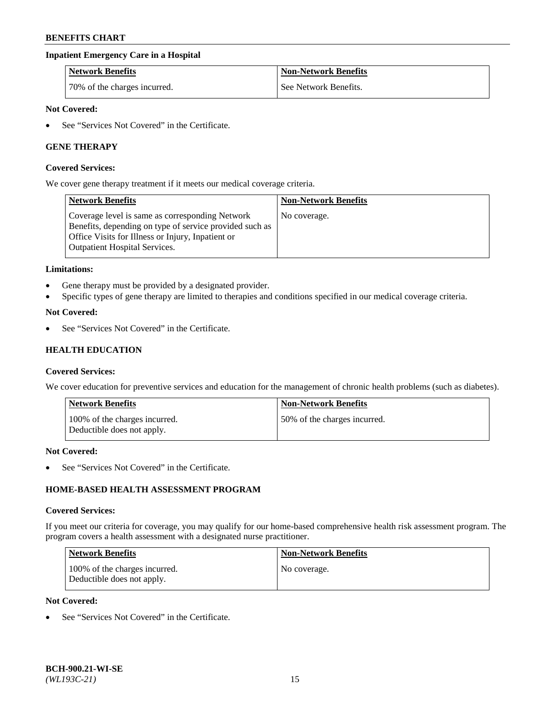## **Inpatient Emergency Care in a Hospital**

| <b>Network Benefits</b>      | <b>Non-Network Benefits</b> |
|------------------------------|-----------------------------|
| 70% of the charges incurred. | See Network Benefits.       |

### **Not Covered:**

See "Services Not Covered" in the Certificate.

## **GENE THERAPY**

#### **Covered Services:**

We cover gene therapy treatment if it meets our medical coverage criteria.

| <b>Network Benefits</b>                                                                                                                                                                          | <b>Non-Network Benefits</b> |
|--------------------------------------------------------------------------------------------------------------------------------------------------------------------------------------------------|-----------------------------|
| Coverage level is same as corresponding Network<br>Benefits, depending on type of service provided such as<br>Office Visits for Illness or Injury, Inpatient or<br>Outpatient Hospital Services. | No coverage.                |

### **Limitations:**

- Gene therapy must be provided by a designated provider.
- Specific types of gene therapy are limited to therapies and conditions specified in our medical coverage criteria.

### **Not Covered:**

See "Services Not Covered" in the Certificate.

# **HEALTH EDUCATION**

#### **Covered Services:**

We cover education for preventive services and education for the management of chronic health problems (such as diabetes).

| Network Benefits                                            | <b>Non-Network Benefits</b>  |
|-------------------------------------------------------------|------------------------------|
| 100% of the charges incurred.<br>Deductible does not apply. | 50% of the charges incurred. |

#### **Not Covered:**

See "Services Not Covered" in the Certificate.

# **HOME-BASED HEALTH ASSESSMENT PROGRAM**

#### **Covered Services:**

If you meet our criteria for coverage, you may qualify for our home-based comprehensive health risk assessment program. The program covers a health assessment with a designated nurse practitioner.

| Network Benefits                                            | <b>Non-Network Benefits</b> |
|-------------------------------------------------------------|-----------------------------|
| 100% of the charges incurred.<br>Deductible does not apply. | No coverage.                |

# **Not Covered:**

• See "Services Not Covered" in the Certificate.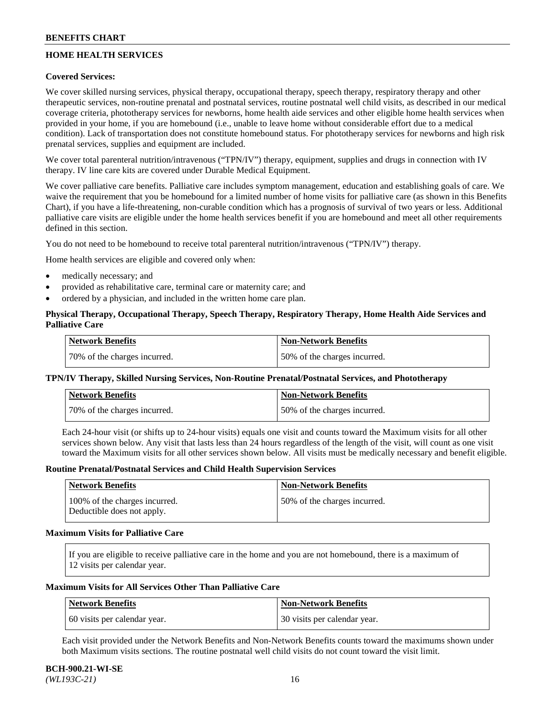# **HOME HEALTH SERVICES**

## **Covered Services:**

We cover skilled nursing services, physical therapy, occupational therapy, speech therapy, respiratory therapy and other therapeutic services, non-routine prenatal and postnatal services, routine postnatal well child visits, as described in our medical coverage criteria, phototherapy services for newborns, home health aide services and other eligible home health services when provided in your home, if you are homebound (i.e., unable to leave home without considerable effort due to a medical condition). Lack of transportation does not constitute homebound status. For phototherapy services for newborns and high risk prenatal services, supplies and equipment are included.

We cover total parenteral nutrition/intravenous ("TPN/IV") therapy, equipment, supplies and drugs in connection with IV therapy. IV line care kits are covered under Durable Medical Equipment.

We cover palliative care benefits. Palliative care includes symptom management, education and establishing goals of care. We waive the requirement that you be homebound for a limited number of home visits for palliative care (as shown in this Benefits Chart), if you have a life-threatening, non-curable condition which has a prognosis of survival of two years or less. Additional palliative care visits are eligible under the home health services benefit if you are homebound and meet all other requirements defined in this section.

You do not need to be homebound to receive total parenteral nutrition/intravenous ("TPN/IV") therapy.

Home health services are eligible and covered only when:

- medically necessary; and
- provided as rehabilitative care, terminal care or maternity care; and
- ordered by a physician, and included in the written home care plan.

# **Physical Therapy, Occupational Therapy, Speech Therapy, Respiratory Therapy, Home Health Aide Services and Palliative Care**

| Network Benefits             | <b>Non-Network Benefits</b>  |
|------------------------------|------------------------------|
| 70% of the charges incurred. | 50% of the charges incurred. |

## **TPN/IV Therapy, Skilled Nursing Services, Non-Routine Prenatal/Postnatal Services, and Phototherapy**

| Network Benefits             | <b>Non-Network Benefits</b>  |
|------------------------------|------------------------------|
| 70% of the charges incurred. | 50% of the charges incurred. |

Each 24-hour visit (or shifts up to 24-hour visits) equals one visit and counts toward the Maximum visits for all other services shown below. Any visit that lasts less than 24 hours regardless of the length of the visit, will count as one visit toward the Maximum visits for all other services shown below. All visits must be medically necessary and benefit eligible.

### **Routine Prenatal/Postnatal Services and Child Health Supervision Services**

| Network Benefits                                            | <b>Non-Network Benefits</b>  |
|-------------------------------------------------------------|------------------------------|
| 100% of the charges incurred.<br>Deductible does not apply. | 50% of the charges incurred. |

### **Maximum Visits for Palliative Care**

If you are eligible to receive palliative care in the home and you are not homebound, there is a maximum of 12 visits per calendar year.

### **Maximum Visits for All Services Other Than Palliative Care**

| Network Benefits             | Non-Network Benefits         |
|------------------------------|------------------------------|
| 60 visits per calendar year. | 30 visits per calendar year. |

Each visit provided under the Network Benefits and Non-Network Benefits counts toward the maximums shown under both Maximum visits sections. The routine postnatal well child visits do not count toward the visit limit.

#### **BCH-900.21-WI-SE**  *(WL193C-21)* 16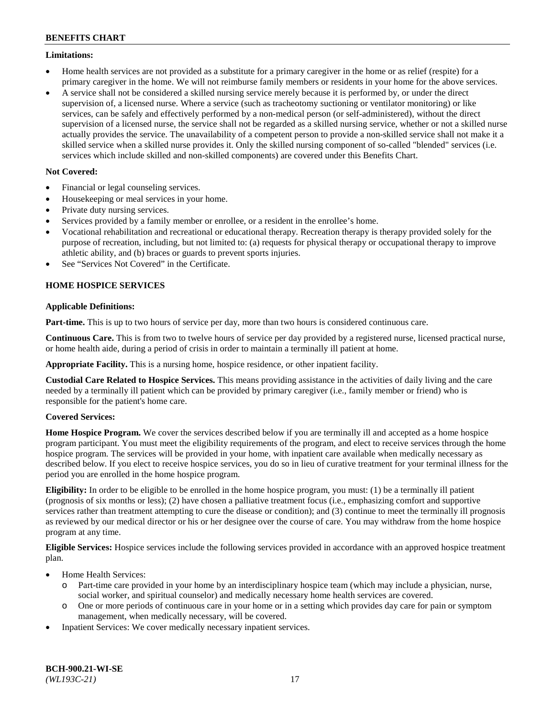### **Limitations:**

- Home health services are not provided as a substitute for a primary caregiver in the home or as relief (respite) for a primary caregiver in the home. We will not reimburse family members or residents in your home for the above services.
- A service shall not be considered a skilled nursing service merely because it is performed by, or under the direct supervision of, a licensed nurse. Where a service (such as tracheotomy suctioning or ventilator monitoring) or like services, can be safely and effectively performed by a non-medical person (or self-administered), without the direct supervision of a licensed nurse, the service shall not be regarded as a skilled nursing service, whether or not a skilled nurse actually provides the service. The unavailability of a competent person to provide a non-skilled service shall not make it a skilled service when a skilled nurse provides it. Only the skilled nursing component of so-called "blended" services (i.e. services which include skilled and non-skilled components) are covered under this Benefits Chart.

# **Not Covered:**

- Financial or legal counseling services.
- Housekeeping or meal services in your home.
- Private duty nursing services.
- Services provided by a family member or enrollee, or a resident in the enrollee's home.
- Vocational rehabilitation and recreational or educational therapy. Recreation therapy is therapy provided solely for the purpose of recreation, including, but not limited to: (a) requests for physical therapy or occupational therapy to improve athletic ability, and (b) braces or guards to prevent sports injuries.
- See "Services Not Covered" in the Certificate.

# **HOME HOSPICE SERVICES**

## **Applicable Definitions:**

**Part-time.** This is up to two hours of service per day, more than two hours is considered continuous care.

**Continuous Care.** This is from two to twelve hours of service per day provided by a registered nurse, licensed practical nurse, or home health aide, during a period of crisis in order to maintain a terminally ill patient at home.

**Appropriate Facility.** This is a nursing home, hospice residence, or other inpatient facility.

**Custodial Care Related to Hospice Services.** This means providing assistance in the activities of daily living and the care needed by a terminally ill patient which can be provided by primary caregiver (i.e., family member or friend) who is responsible for the patient's home care.

## **Covered Services:**

**Home Hospice Program.** We cover the services described below if you are terminally ill and accepted as a home hospice program participant. You must meet the eligibility requirements of the program, and elect to receive services through the home hospice program. The services will be provided in your home, with inpatient care available when medically necessary as described below. If you elect to receive hospice services, you do so in lieu of curative treatment for your terminal illness for the period you are enrolled in the home hospice program.

**Eligibility:** In order to be eligible to be enrolled in the home hospice program, you must: (1) be a terminally ill patient (prognosis of six months or less); (2) have chosen a palliative treatment focus (i.e., emphasizing comfort and supportive services rather than treatment attempting to cure the disease or condition); and (3) continue to meet the terminally ill prognosis as reviewed by our medical director or his or her designee over the course of care. You may withdraw from the home hospice program at any time.

**Eligible Services:** Hospice services include the following services provided in accordance with an approved hospice treatment plan.

- Home Health Services:
	- o Part-time care provided in your home by an interdisciplinary hospice team (which may include a physician, nurse, social worker, and spiritual counselor) and medically necessary home health services are covered.
	- o One or more periods of continuous care in your home or in a setting which provides day care for pain or symptom management, when medically necessary, will be covered.
- Inpatient Services: We cover medically necessary inpatient services.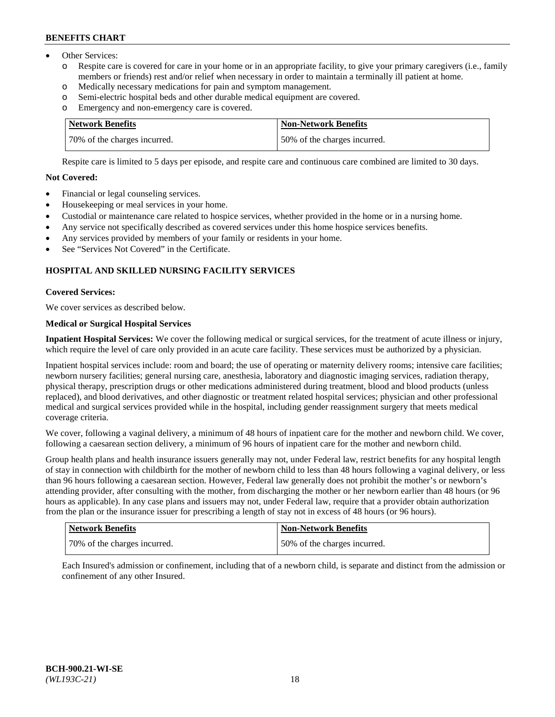- Other Services:
	- Respite care is covered for care in your home or in an appropriate facility, to give your primary caregivers (i.e., family members or friends) rest and/or relief when necessary in order to maintain a terminally ill patient at home.
	- o Medically necessary medications for pain and symptom management.
	- o Semi-electric hospital beds and other durable medical equipment are covered.
	- Emergency and non-emergency care is covered.

| Network Benefits             | Non-Network Benefits         |
|------------------------------|------------------------------|
| 70% of the charges incurred. | 50% of the charges incurred. |

Respite care is limited to 5 days per episode, and respite care and continuous care combined are limited to 30 days.

# **Not Covered:**

- Financial or legal counseling services.
- Housekeeping or meal services in your home.
- Custodial or maintenance care related to hospice services, whether provided in the home or in a nursing home.
- Any service not specifically described as covered services under this home hospice services benefits.
- Any services provided by members of your family or residents in your home.
- See "Services Not Covered" in the Certificate.

# **HOSPITAL AND SKILLED NURSING FACILITY SERVICES**

### **Covered Services:**

We cover services as described below.

# **Medical or Surgical Hospital Services**

**Inpatient Hospital Services:** We cover the following medical or surgical services, for the treatment of acute illness or injury, which require the level of care only provided in an acute care facility. These services must be authorized by a physician.

Inpatient hospital services include: room and board; the use of operating or maternity delivery rooms; intensive care facilities; newborn nursery facilities; general nursing care, anesthesia, laboratory and diagnostic imaging services, radiation therapy, physical therapy, prescription drugs or other medications administered during treatment, blood and blood products (unless replaced), and blood derivatives, and other diagnostic or treatment related hospital services; physician and other professional medical and surgical services provided while in the hospital, including gender reassignment surgery that meets medical coverage criteria.

We cover, following a vaginal delivery, a minimum of 48 hours of inpatient care for the mother and newborn child. We cover, following a caesarean section delivery, a minimum of 96 hours of inpatient care for the mother and newborn child.

Group health plans and health insurance issuers generally may not, under Federal law, restrict benefits for any hospital length of stay in connection with childbirth for the mother of newborn child to less than 48 hours following a vaginal delivery, or less than 96 hours following a caesarean section. However, Federal law generally does not prohibit the mother's or newborn's attending provider, after consulting with the mother, from discharging the mother or her newborn earlier than 48 hours (or 96 hours as applicable). In any case plans and issuers may not, under Federal law, require that a provider obtain authorization from the plan or the insurance issuer for prescribing a length of stay not in excess of 48 hours (or 96 hours).

| <b>Network Benefits</b>      | <b>Non-Network Benefits</b>  |
|------------------------------|------------------------------|
| 70% of the charges incurred. | 50% of the charges incurred. |

Each Insured's admission or confinement, including that of a newborn child, is separate and distinct from the admission or confinement of any other Insured.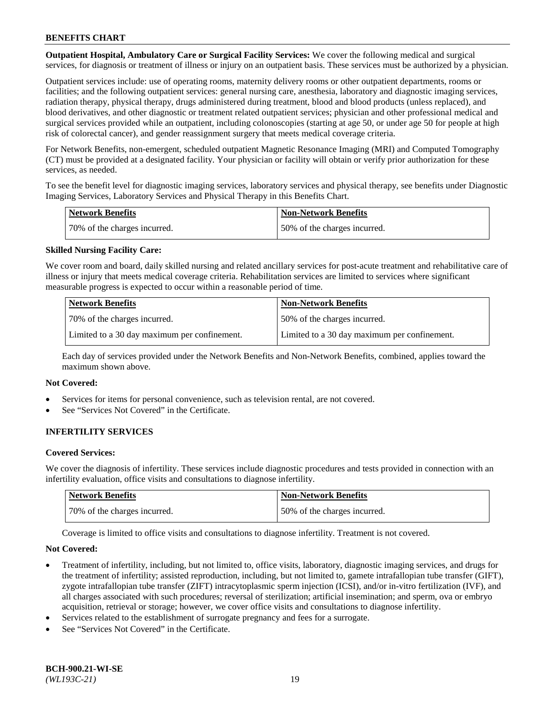**Outpatient Hospital, Ambulatory Care or Surgical Facility Services:** We cover the following medical and surgical services, for diagnosis or treatment of illness or injury on an outpatient basis. These services must be authorized by a physician.

Outpatient services include: use of operating rooms, maternity delivery rooms or other outpatient departments, rooms or facilities; and the following outpatient services: general nursing care, anesthesia, laboratory and diagnostic imaging services, radiation therapy, physical therapy, drugs administered during treatment, blood and blood products (unless replaced), and blood derivatives, and other diagnostic or treatment related outpatient services; physician and other professional medical and surgical services provided while an outpatient, including colonoscopies (starting at age 50, or under age 50 for people at high risk of colorectal cancer), and gender reassignment surgery that meets medical coverage criteria.

For Network Benefits, non-emergent, scheduled outpatient Magnetic Resonance Imaging (MRI) and Computed Tomography (CT) must be provided at a designated facility. Your physician or facility will obtain or verify prior authorization for these services, as needed.

To see the benefit level for diagnostic imaging services, laboratory services and physical therapy, see benefits under Diagnostic Imaging Services, Laboratory Services and Physical Therapy in this Benefits Chart.

| <b>Network Benefits</b>      | <b>Non-Network Benefits</b>  |
|------------------------------|------------------------------|
| 70% of the charges incurred. | 50% of the charges incurred. |

## **Skilled Nursing Facility Care:**

We cover room and board, daily skilled nursing and related ancillary services for post-acute treatment and rehabilitative care of illness or injury that meets medical coverage criteria. Rehabilitation services are limited to services where significant measurable progress is expected to occur within a reasonable period of time.

| <b>Network Benefits</b>                      | <b>Non-Network Benefits</b>                  |
|----------------------------------------------|----------------------------------------------|
| 70\% of the charges incurred.                | 150% of the charges incurred.                |
| Limited to a 30 day maximum per confinement. | Limited to a 30 day maximum per confinement. |

Each day of services provided under the Network Benefits and Non-Network Benefits, combined, applies toward the maximum shown above.

### **Not Covered:**

- Services for items for personal convenience, such as television rental, are not covered.
- See "Services Not Covered" in the Certificate.

## **INFERTILITY SERVICES**

#### **Covered Services:**

We cover the diagnosis of infertility. These services include diagnostic procedures and tests provided in connection with an infertility evaluation, office visits and consultations to diagnose infertility.

| <b>Network Benefits</b>      | <b>Non-Network Benefits</b>  |
|------------------------------|------------------------------|
| 70% of the charges incurred. | 50% of the charges incurred. |

Coverage is limited to office visits and consultations to diagnose infertility. Treatment is not covered.

#### **Not Covered:**

- Treatment of infertility, including, but not limited to, office visits, laboratory, diagnostic imaging services, and drugs for the treatment of infertility; assisted reproduction, including, but not limited to, gamete intrafallopian tube transfer (GIFT), zygote intrafallopian tube transfer (ZIFT) intracytoplasmic sperm injection (ICSI), and/or in-vitro fertilization (IVF), and all charges associated with such procedures; reversal of sterilization; artificial insemination; and sperm, ova or embryo acquisition, retrieval or storage; however, we cover office visits and consultations to diagnose infertility.
- Services related to the establishment of surrogate pregnancy and fees for a surrogate.
- See "Services Not Covered" in the Certificate.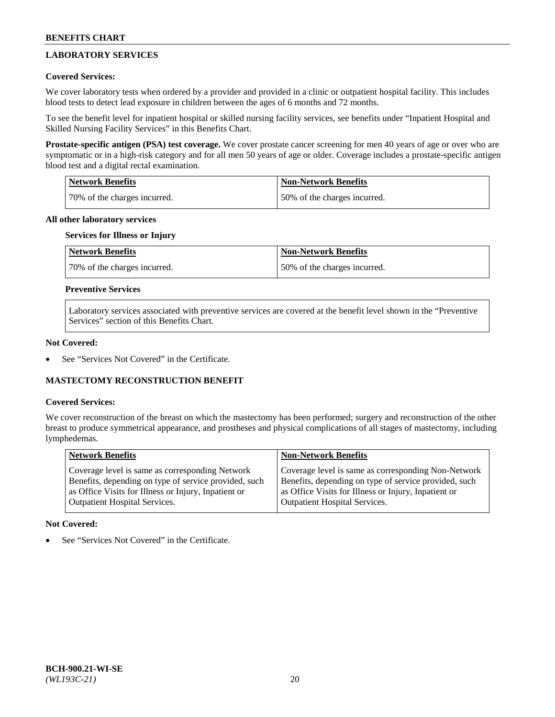# **LABORATORY SERVICES**

## **Covered Services:**

We cover laboratory tests when ordered by a provider and provided in a clinic or outpatient hospital facility. This includes blood tests to detect lead exposure in children between the ages of 6 months and 72 months.

To see the benefit level for inpatient hospital or skilled nursing facility services, see benefits under "Inpatient Hospital and Skilled Nursing Facility Services" in this Benefits Chart.

**Prostate-specific antigen (PSA) test coverage.** We cover prostate cancer screening for men 40 years of age or over who are symptomatic or in a high-risk category and for all men 50 years of age or older. Coverage includes a prostate-specific antigen blood test and a digital rectal examination.

| Network Benefits             | <b>Non-Network Benefits</b>  |
|------------------------------|------------------------------|
| 70% of the charges incurred. | 50% of the charges incurred. |

### **All other laboratory services**

# **Services for Illness or Injury**

| <b>Network Benefits</b>      | Non-Network Benefits         |
|------------------------------|------------------------------|
| 70% of the charges incurred. | 50% of the charges incurred. |

## **Preventive Services**

Laboratory services associated with preventive services are covered at the benefit level shown in the "Preventive Services" section of this Benefits Chart.

### **Not Covered:**

See "Services Not Covered" in the Certificate.

## **MASTECTOMY RECONSTRUCTION BENEFIT**

### **Covered Services:**

We cover reconstruction of the breast on which the mastectomy has been performed; surgery and reconstruction of the other breast to produce symmetrical appearance, and prostheses and physical complications of all stages of mastectomy, including lymphedemas.

| <b>Network Benefits</b>                               | <b>Non-Network Benefits</b>                           |
|-------------------------------------------------------|-------------------------------------------------------|
| Coverage level is same as corresponding Network       | Coverage level is same as corresponding Non-Network   |
| Benefits, depending on type of service provided, such | Benefits, depending on type of service provided, such |
| as Office Visits for Illness or Injury, Inpatient or  | as Office Visits for Illness or Injury, Inpatient or  |
| Outpatient Hospital Services.                         | <b>Outpatient Hospital Services.</b>                  |

### **Not Covered:**

See "Services Not Covered" in the Certificate.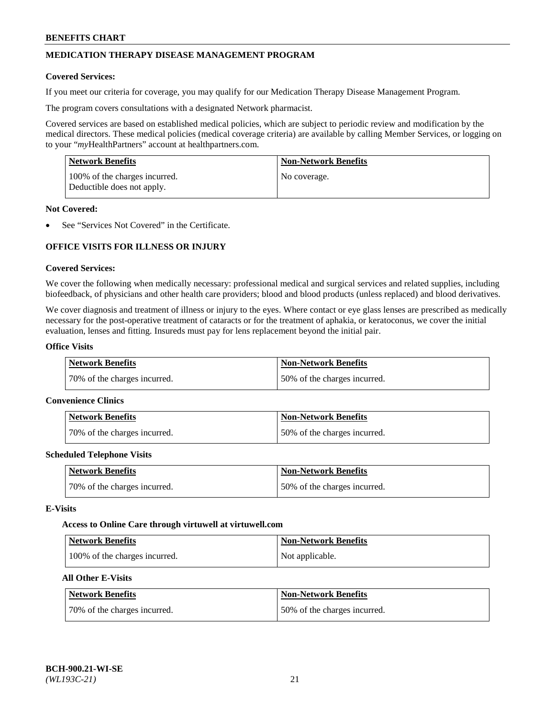# **MEDICATION THERAPY DISEASE MANAGEMENT PROGRAM**

### **Covered Services:**

If you meet our criteria for coverage, you may qualify for our Medication Therapy Disease Management Program.

The program covers consultations with a designated Network pharmacist.

Covered services are based on established medical policies, which are subject to periodic review and modification by the medical directors. These medical policies (medical coverage criteria) are available by calling Member Services, or logging on to your "*my*HealthPartners" account at [healthpartners.com.](http://www.healthpartners.com/)

| Network Benefits                                            | <b>Non-Network Benefits</b> |
|-------------------------------------------------------------|-----------------------------|
| 100% of the charges incurred.<br>Deductible does not apply. | No coverage.                |

### **Not Covered:**

See "Services Not Covered" in the Certificate.

# **OFFICE VISITS FOR ILLNESS OR INJURY**

### **Covered Services:**

We cover the following when medically necessary: professional medical and surgical services and related supplies, including biofeedback, of physicians and other health care providers; blood and blood products (unless replaced) and blood derivatives.

We cover diagnosis and treatment of illness or injury to the eyes. Where contact or eye glass lenses are prescribed as medically necessary for the post-operative treatment of cataracts or for the treatment of aphakia, or keratoconus, we cover the initial evaluation, lenses and fitting. Insureds must pay for lens replacement beyond the initial pair.

### **Office Visits**

| <b>Network Benefits</b>      | <b>Non-Network Benefits</b>  |
|------------------------------|------------------------------|
| 70% of the charges incurred. | 50% of the charges incurred. |

#### **Convenience Clinics**

| Network Benefits             | <b>Non-Network Benefits</b>  |
|------------------------------|------------------------------|
| 70% of the charges incurred. | 50% of the charges incurred. |

#### **Scheduled Telephone Visits**

| <b>Network Benefits</b>      | <b>Non-Network Benefits</b>  |
|------------------------------|------------------------------|
| 70% of the charges incurred. | 50% of the charges incurred. |

### **E-Visits**

#### **Access to Online Care through virtuwell a[t virtuwell.com](https://www.virtuwell.com/)**

| Network Benefits              | <b>Non-Network Benefits</b> |
|-------------------------------|-----------------------------|
| 100% of the charges incurred. | Not applicable.             |

# **All Other E-Visits**

| <b>Network Benefits</b>      | <b>Non-Network Benefits</b>  |
|------------------------------|------------------------------|
| 70% of the charges incurred. | 50% of the charges incurred. |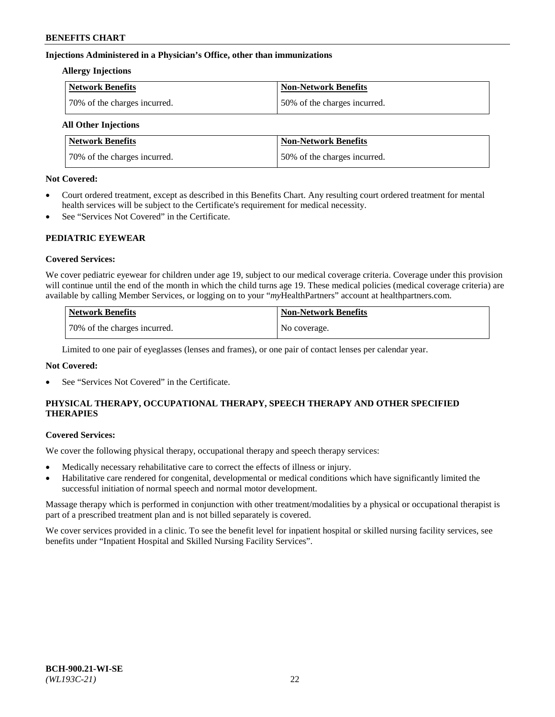## **Injections Administered in a Physician's Office, other than immunizations**

### **Allergy Injections**

| <b>Network Benefits</b>      | <b>Non-Network Benefits</b>  |
|------------------------------|------------------------------|
| 70% of the charges incurred. | 50% of the charges incurred. |

# **All Other Injections**

| <b>Network Benefits</b>      | <b>Non-Network Benefits</b>  |
|------------------------------|------------------------------|
| 70% of the charges incurred. | 50% of the charges incurred. |

### **Not Covered:**

- Court ordered treatment, except as described in this Benefits Chart. Any resulting court ordered treatment for mental health services will be subject to the Certificate's requirement for medical necessity.
- See "Services Not Covered" in the Certificate.

## **PEDIATRIC EYEWEAR**

## **Covered Services:**

We cover pediatric eyewear for children under age 19, subject to our medical coverage criteria. Coverage under this provision will continue until the end of the month in which the child turns age 19. These medical policies (medical coverage criteria) are available by calling Member Services, or logging on to your "*my*HealthPartners" account a[t healthpartners.com.](https://www.healthpartners.com/hp/index.html)

| Network Benefits             | <b>Non-Network Benefits</b> |
|------------------------------|-----------------------------|
| 70% of the charges incurred. | No coverage.                |

Limited to one pair of eyeglasses (lenses and frames), or one pair of contact lenses per calendar year.

## **Not Covered:**

See "Services Not Covered" in the Certificate.

# **PHYSICAL THERAPY, OCCUPATIONAL THERAPY, SPEECH THERAPY AND OTHER SPECIFIED THERAPIES**

#### **Covered Services:**

We cover the following physical therapy, occupational therapy and speech therapy services:

- Medically necessary rehabilitative care to correct the effects of illness or injury.
- Habilitative care rendered for congenital, developmental or medical conditions which have significantly limited the successful initiation of normal speech and normal motor development.

Massage therapy which is performed in conjunction with other treatment/modalities by a physical or occupational therapist is part of a prescribed treatment plan and is not billed separately is covered.

We cover services provided in a clinic. To see the benefit level for inpatient hospital or skilled nursing facility services, see benefits under "Inpatient Hospital and Skilled Nursing Facility Services".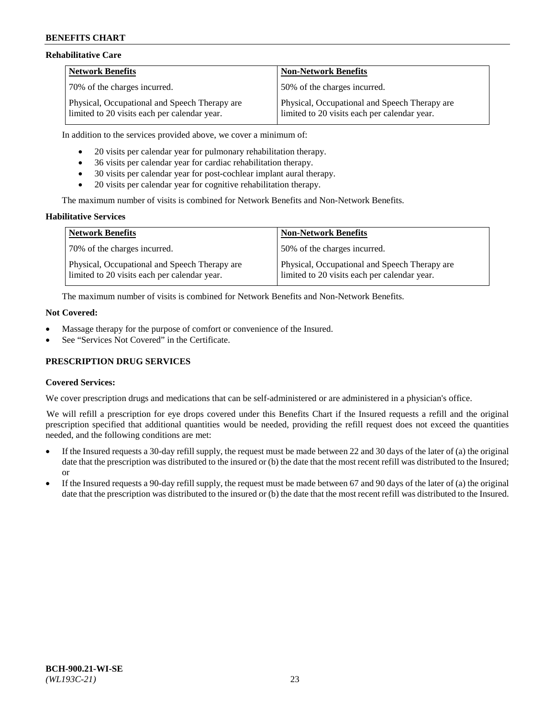### **Rehabilitative Care**

| <b>Network Benefits</b>                                                                       | <b>Non-Network Benefits</b>                                                                   |
|-----------------------------------------------------------------------------------------------|-----------------------------------------------------------------------------------------------|
| 70% of the charges incurred.                                                                  | 150% of the charges incurred.                                                                 |
| Physical, Occupational and Speech Therapy are<br>limited to 20 visits each per calendar year. | Physical, Occupational and Speech Therapy are<br>limited to 20 visits each per calendar year. |

In addition to the services provided above, we cover a minimum of:

- 20 visits per calendar year for pulmonary rehabilitation therapy.
- 36 visits per calendar year for cardiac rehabilitation therapy.
- 30 visits per calendar year for post-cochlear implant aural therapy.
- 20 visits per calendar year for cognitive rehabilitation therapy.

The maximum number of visits is combined for Network Benefits and Non-Network Benefits.

### **Habilitative Services**

| <b>Network Benefits</b>                                                                       | <b>Non-Network Benefits</b>                                                                   |
|-----------------------------------------------------------------------------------------------|-----------------------------------------------------------------------------------------------|
| 70% of the charges incurred.                                                                  | 50% of the charges incurred.                                                                  |
| Physical, Occupational and Speech Therapy are<br>limited to 20 visits each per calendar year. | Physical, Occupational and Speech Therapy are<br>limited to 20 visits each per calendar year. |

The maximum number of visits is combined for Network Benefits and Non-Network Benefits.

### **Not Covered:**

- Massage therapy for the purpose of comfort or convenience of the Insured.
- See "Services Not Covered" in the Certificate.

## **PRESCRIPTION DRUG SERVICES**

## **Covered Services:**

We cover prescription drugs and medications that can be self-administered or are administered in a physician's office.

We will refill a prescription for eye drops covered under this Benefits Chart if the Insured requests a refill and the original prescription specified that additional quantities would be needed, providing the refill request does not exceed the quantities needed, and the following conditions are met:

- If the Insured requests a 30-day refill supply, the request must be made between 22 and 30 days of the later of (a) the original date that the prescription was distributed to the insured or (b) the date that the most recent refill was distributed to the Insured; or
- If the Insured requests a 90-day refill supply, the request must be made between 67 and 90 days of the later of (a) the original date that the prescription was distributed to the insured or (b) the date that the most recent refill was distributed to the Insured.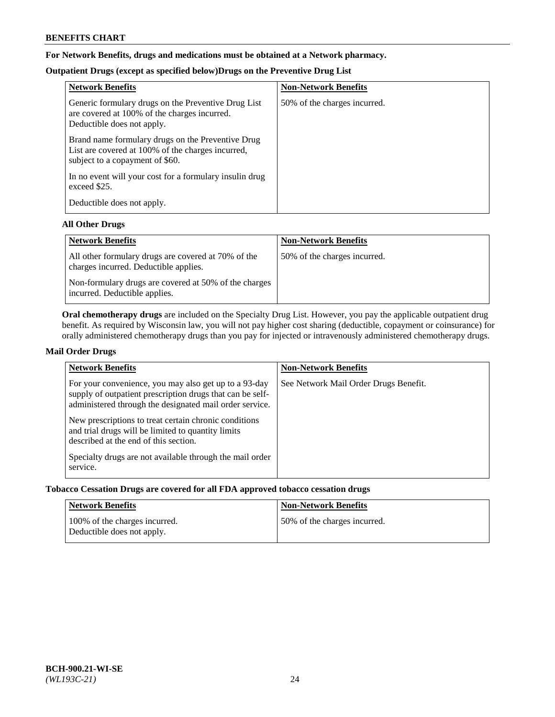# **For Network Benefits, drugs and medications must be obtained at a Network pharmacy.**

# **Outpatient Drugs (except as specified below)Drugs on the Preventive Drug List**

| <b>Network Benefits</b>                                                                                                                   | <b>Non-Network Benefits</b>  |
|-------------------------------------------------------------------------------------------------------------------------------------------|------------------------------|
| Generic formulary drugs on the Preventive Drug List<br>are covered at 100% of the charges incurred.<br>Deductible does not apply.         | 50% of the charges incurred. |
| Brand name formulary drugs on the Preventive Drug<br>List are covered at 100% of the charges incurred,<br>subject to a copayment of \$60. |                              |
| In no event will your cost for a formulary insulin drug<br>exceed \$25.                                                                   |                              |
| Deductible does not apply.                                                                                                                |                              |

## **All Other Drugs**

| <b>Network Benefits</b>                                                                      | <b>Non-Network Benefits</b>  |
|----------------------------------------------------------------------------------------------|------------------------------|
| All other formulary drugs are covered at 70% of the<br>charges incurred. Deductible applies. | 50% of the charges incurred. |
| Non-formulary drugs are covered at 50% of the charges<br>incurred. Deductible applies.       |                              |

**Oral chemotherapy drugs** are included on the Specialty Drug List. However, you pay the applicable outpatient drug benefit. As required by Wisconsin law, you will not pay higher cost sharing (deductible, copayment or coinsurance) for orally administered chemotherapy drugs than you pay for injected or intravenously administered chemotherapy drugs.

## **Mail Order Drugs**

| <b>Network Benefits</b>                                                                                                                                                                                                                                                                                                                                                                                       | <b>Non-Network Benefits</b>           |
|---------------------------------------------------------------------------------------------------------------------------------------------------------------------------------------------------------------------------------------------------------------------------------------------------------------------------------------------------------------------------------------------------------------|---------------------------------------|
| For your convenience, you may also get up to a 93-day<br>supply of outpatient prescription drugs that can be self-<br>administered through the designated mail order service.<br>New prescriptions to treat certain chronic conditions<br>and trial drugs will be limited to quantity limits<br>described at the end of this section.<br>Specialty drugs are not available through the mail order<br>service. | See Network Mail Order Drugs Benefit. |

## **Tobacco Cessation Drugs are covered for all FDA approved tobacco cessation drugs**

| Network Benefits                                            | <b>Non-Network Benefits</b>  |
|-------------------------------------------------------------|------------------------------|
| 100% of the charges incurred.<br>Deductible does not apply. | 50% of the charges incurred. |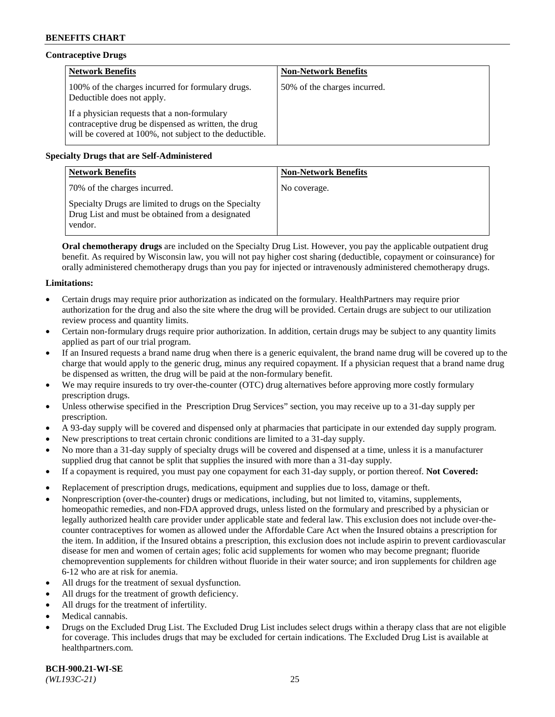# **Contraceptive Drugs**

| <b>Network Benefits</b>                                                                                                                                         | <b>Non-Network Benefits</b>  |
|-----------------------------------------------------------------------------------------------------------------------------------------------------------------|------------------------------|
| 100% of the charges incurred for formulary drugs.<br>Deductible does not apply.                                                                                 | 50% of the charges incurred. |
| If a physician requests that a non-formulary<br>contraceptive drug be dispensed as written, the drug<br>will be covered at 100%, not subject to the deductible. |                              |

# **Specialty Drugs that are Self-Administered**

| <b>Network Benefits</b>                                                                                              | <b>Non-Network Benefits</b> |
|----------------------------------------------------------------------------------------------------------------------|-----------------------------|
| 70% of the charges incurred.                                                                                         | No coverage.                |
| Specialty Drugs are limited to drugs on the Specialty<br>Drug List and must be obtained from a designated<br>vendor. |                             |

**Oral chemotherapy drugs** are included on the Specialty Drug List. However, you pay the applicable outpatient drug benefit. As required by Wisconsin law, you will not pay higher cost sharing (deductible, copayment or coinsurance) for orally administered chemotherapy drugs than you pay for injected or intravenously administered chemotherapy drugs.

## **Limitations:**

- Certain drugs may require prior authorization as indicated on the formulary. HealthPartners may require prior authorization for the drug and also the site where the drug will be provided. Certain drugs are subject to our utilization review process and quantity limits.
- Certain non-formulary drugs require prior authorization. In addition, certain drugs may be subject to any quantity limits applied as part of our trial program.
- If an Insured requests a brand name drug when there is a generic equivalent, the brand name drug will be covered up to the charge that would apply to the generic drug, minus any required copayment. If a physician request that a brand name drug be dispensed as written, the drug will be paid at the non-formulary benefit.
- We may require insureds to try over-the-counter (OTC) drug alternatives before approving more costly formulary prescription drugs.
- Unless otherwise specified in the Prescription Drug Services" section, you may receive up to a 31-day supply per prescription.
- A 93-day supply will be covered and dispensed only at pharmacies that participate in our extended day supply program.
- New prescriptions to treat certain chronic conditions are limited to a 31-day supply.
- No more than a 31-day supply of specialty drugs will be covered and dispensed at a time, unless it is a manufacturer supplied drug that cannot be split that supplies the insured with more than a 31-day supply.
- If a copayment is required, you must pay one copayment for each 31-day supply, or portion thereof. **Not Covered:**
- Replacement of prescription drugs, medications, equipment and supplies due to loss, damage or theft.
- Nonprescription (over-the-counter) drugs or medications, including, but not limited to, vitamins, supplements, homeopathic remedies, and non-FDA approved drugs, unless listed on the formulary and prescribed by a physician or legally authorized health care provider under applicable state and federal law. This exclusion does not include over-thecounter contraceptives for women as allowed under the Affordable Care Act when the Insured obtains a prescription for the item. In addition, if the Insured obtains a prescription, this exclusion does not include aspirin to prevent cardiovascular disease for men and women of certain ages; folic acid supplements for women who may become pregnant; fluoride chemoprevention supplements for children without fluoride in their water source; and iron supplements for children age 6-12 who are at risk for anemia.
- All drugs for the treatment of sexual dysfunction.
- All drugs for the treatment of growth deficiency.
- All drugs for the treatment of infertility.
- Medical cannabis.
- Drugs on the Excluded Drug List. The Excluded Drug List includes select drugs within a therapy class that are not eligible for coverage. This includes drugs that may be excluded for certain indications. The Excluded Drug List is available at [healthpartners.com.](http://www.healthpartners.com/)

**BCH-900.21-WI-SE**  *(WL193C-21)* 25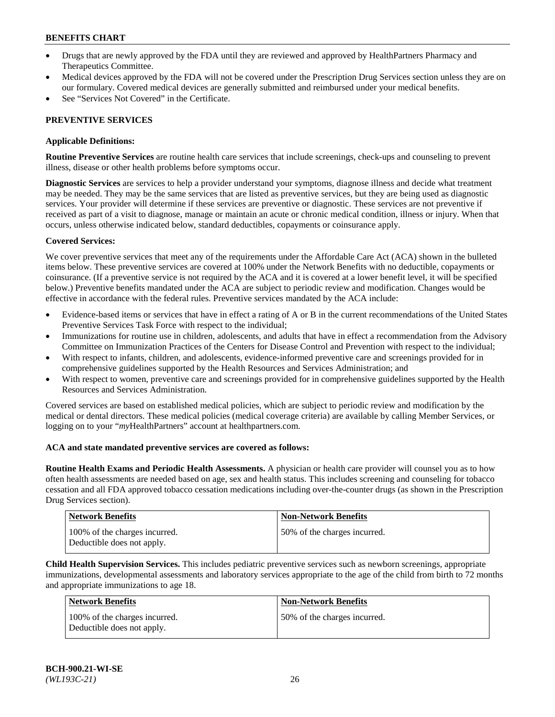- Drugs that are newly approved by the FDA until they are reviewed and approved by HealthPartners Pharmacy and Therapeutics Committee.
- Medical devices approved by the FDA will not be covered under the Prescription Drug Services section unless they are on our formulary. Covered medical devices are generally submitted and reimbursed under your medical benefits.
- See "Services Not Covered" in the Certificate.

## **PREVENTIVE SERVICES**

### **Applicable Definitions:**

**Routine Preventive Services** are routine health care services that include screenings, check-ups and counseling to prevent illness, disease or other health problems before symptoms occur.

**Diagnostic Services** are services to help a provider understand your symptoms, diagnose illness and decide what treatment may be needed. They may be the same services that are listed as preventive services, but they are being used as diagnostic services. Your provider will determine if these services are preventive or diagnostic. These services are not preventive if received as part of a visit to diagnose, manage or maintain an acute or chronic medical condition, illness or injury. When that occurs, unless otherwise indicated below, standard deductibles, copayments or coinsurance apply.

### **Covered Services:**

We cover preventive services that meet any of the requirements under the Affordable Care Act (ACA) shown in the bulleted items below. These preventive services are covered at 100% under the Network Benefits with no deductible, copayments or coinsurance. (If a preventive service is not required by the ACA and it is covered at a lower benefit level, it will be specified below.) Preventive benefits mandated under the ACA are subject to periodic review and modification. Changes would be effective in accordance with the federal rules. Preventive services mandated by the ACA include:

- Evidence-based items or services that have in effect a rating of A or B in the current recommendations of the United States Preventive Services Task Force with respect to the individual;
- Immunizations for routine use in children, adolescents, and adults that have in effect a recommendation from the Advisory Committee on Immunization Practices of the Centers for Disease Control and Prevention with respect to the individual;
- With respect to infants, children, and adolescents, evidence-informed preventive care and screenings provided for in comprehensive guidelines supported by the Health Resources and Services Administration; and
- With respect to women, preventive care and screenings provided for in comprehensive guidelines supported by the Health Resources and Services Administration.

Covered services are based on established medical policies, which are subject to periodic review and modification by the medical or dental directors. These medical policies (medical coverage criteria) are available by calling Member Services, or logging on to your "*my*HealthPartners" account at [healthpartners.com.](https://www.healthpartners.com/hp/index.html)

### **ACA and state mandated preventive services are covered as follows:**

**Routine Health Exams and Periodic Health Assessments.** A physician or health care provider will counsel you as to how often health assessments are needed based on age, sex and health status. This includes screening and counseling for tobacco cessation and all FDA approved tobacco cessation medications including over-the-counter drugs (as shown in the Prescription Drug Services section).

| <b>Network Benefits</b>                                     | <b>Non-Network Benefits</b>  |
|-------------------------------------------------------------|------------------------------|
| 100% of the charges incurred.<br>Deductible does not apply. | 50% of the charges incurred. |

**Child Health Supervision Services.** This includes pediatric preventive services such as newborn screenings, appropriate immunizations, developmental assessments and laboratory services appropriate to the age of the child from birth to 72 months and appropriate immunizations to age 18.

| Network Benefits                                            | <b>Non-Network Benefits</b>  |
|-------------------------------------------------------------|------------------------------|
| 100% of the charges incurred.<br>Deductible does not apply. | 50% of the charges incurred. |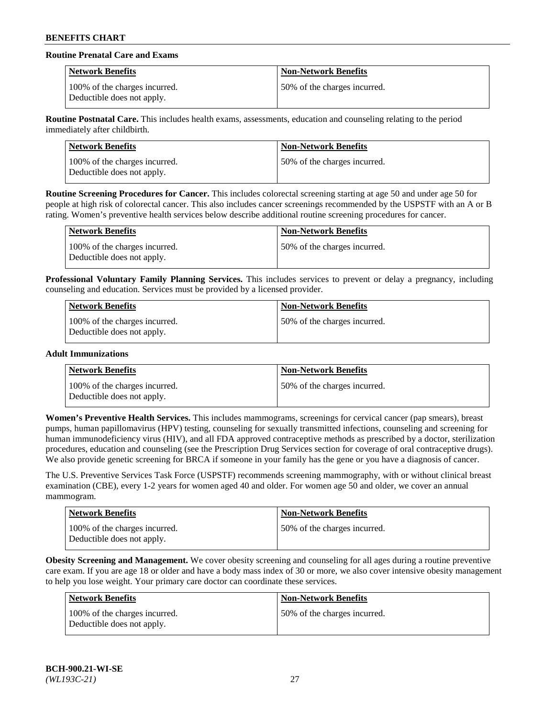# **Routine Prenatal Care and Exams**

| <b>Network Benefits</b>                                     | <b>Non-Network Benefits</b>  |
|-------------------------------------------------------------|------------------------------|
| 100% of the charges incurred.<br>Deductible does not apply. | 50% of the charges incurred. |

**Routine Postnatal Care.** This includes health exams, assessments, education and counseling relating to the period immediately after childbirth.

| Network Benefits                                            | <b>Non-Network Benefits</b>   |
|-------------------------------------------------------------|-------------------------------|
| 100% of the charges incurred.<br>Deductible does not apply. | 150% of the charges incurred. |

**Routine Screening Procedures for Cancer.** This includes colorectal screening starting at age 50 and under age 50 for people at high risk of colorectal cancer. This also includes cancer screenings recommended by the USPSTF with an A or B rating. Women's preventive health services below describe additional routine screening procedures for cancer.

| <b>Network Benefits</b>                                     | <b>Non-Network Benefits</b>  |
|-------------------------------------------------------------|------------------------------|
| 100% of the charges incurred.<br>Deductible does not apply. | 50% of the charges incurred. |

**Professional Voluntary Family Planning Services.** This includes services to prevent or delay a pregnancy, including counseling and education. Services must be provided by a licensed provider.

| Network Benefits                                            | Non-Network Benefits         |
|-------------------------------------------------------------|------------------------------|
| 100% of the charges incurred.<br>Deductible does not apply. | 50% of the charges incurred. |

## **Adult Immunizations**

| Network Benefits                                            | <b>Non-Network Benefits</b>  |
|-------------------------------------------------------------|------------------------------|
| 100% of the charges incurred.<br>Deductible does not apply. | 50% of the charges incurred. |

**Women's Preventive Health Services.** This includes mammograms, screenings for cervical cancer (pap smears), breast pumps, human papillomavirus (HPV) testing, counseling for sexually transmitted infections, counseling and screening for human immunodeficiency virus (HIV), and all FDA approved contraceptive methods as prescribed by a doctor, sterilization procedures, education and counseling (see the Prescription Drug Services section for coverage of oral contraceptive drugs). We also provide genetic screening for BRCA if someone in your family has the gene or you have a diagnosis of cancer.

The U.S. Preventive Services Task Force (USPSTF) recommends screening mammography, with or without clinical breast examination (CBE), every 1-2 years for women aged 40 and older. For women age 50 and older, we cover an annual mammogram.

| Network Benefits                                            | <b>Non-Network Benefits</b>  |
|-------------------------------------------------------------|------------------------------|
| 100% of the charges incurred.<br>Deductible does not apply. | 50% of the charges incurred. |

**Obesity Screening and Management.** We cover obesity screening and counseling for all ages during a routine preventive care exam. If you are age 18 or older and have a body mass index of 30 or more, we also cover intensive obesity management to help you lose weight. Your primary care doctor can coordinate these services.

| <b>Network Benefits</b>                                     | <b>Non-Network Benefits</b>  |
|-------------------------------------------------------------|------------------------------|
| 100% of the charges incurred.<br>Deductible does not apply. | 50% of the charges incurred. |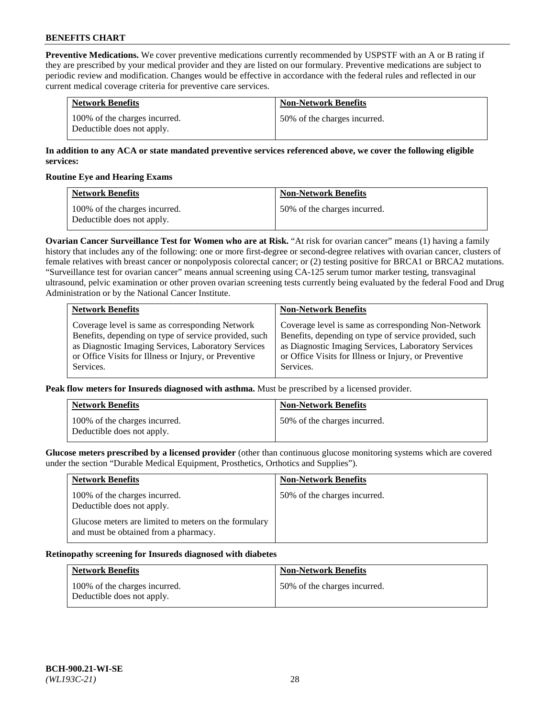**Preventive Medications.** We cover preventive medications currently recommended by USPSTF with an A or B rating if they are prescribed by your medical provider and they are listed on our formulary. Preventive medications are subject to periodic review and modification. Changes would be effective in accordance with the federal rules and reflected in our current medical coverage criteria for preventive care services.

| <b>Network Benefits</b>                                     | <b>Non-Network Benefits</b>  |
|-------------------------------------------------------------|------------------------------|
| 100% of the charges incurred.<br>Deductible does not apply. | 50% of the charges incurred. |

## **In addition to any ACA or state mandated preventive services referenced above, we cover the following eligible services:**

### **Routine Eye and Hearing Exams**

| <b>Network Benefits</b>                                     | <b>Non-Network Benefits</b>  |
|-------------------------------------------------------------|------------------------------|
| 100% of the charges incurred.<br>Deductible does not apply. | 50% of the charges incurred. |

**Ovarian Cancer Surveillance Test for Women who are at Risk.** "At risk for ovarian cancer" means (1) having a family history that includes any of the following: one or more first-degree or second-degree relatives with ovarian cancer, clusters of female relatives with breast cancer or nonpolyposis colorectal cancer; or (2) testing positive for BRCA1 or BRCA2 mutations. "Surveillance test for ovarian cancer" means annual screening using CA-125 serum tumor marker testing, transvaginal ultrasound, pelvic examination or other proven ovarian screening tests currently being evaluated by the federal Food and Drug Administration or by the National Cancer Institute.

| <b>Network Benefits</b>                               | <b>Non-Network Benefits</b>                           |
|-------------------------------------------------------|-------------------------------------------------------|
| Coverage level is same as corresponding Network       | Coverage level is same as corresponding Non-Network   |
| Benefits, depending on type of service provided, such | Benefits, depending on type of service provided, such |
| as Diagnostic Imaging Services, Laboratory Services   | as Diagnostic Imaging Services, Laboratory Services   |
| or Office Visits for Illness or Injury, or Preventive | or Office Visits for Illness or Injury, or Preventive |
| Services.                                             | Services.                                             |

**Peak flow meters for Insureds diagnosed with asthma.** Must be prescribed by a licensed provider.

| <b>Network Benefits</b>                                     | <b>Non-Network Benefits</b>  |
|-------------------------------------------------------------|------------------------------|
| 100% of the charges incurred.<br>Deductible does not apply. | 50% of the charges incurred. |

**Glucose meters prescribed by a licensed provider** (other than continuous glucose monitoring systems which are covered under the section "Durable Medical Equipment, Prosthetics, Orthotics and Supplies").

| <b>Network Benefits</b>                                                                        | <b>Non-Network Benefits</b>  |
|------------------------------------------------------------------------------------------------|------------------------------|
| 100% of the charges incurred.<br>Deductible does not apply.                                    | 50% of the charges incurred. |
| Glucose meters are limited to meters on the formulary<br>and must be obtained from a pharmacy. |                              |

#### **Retinopathy screening for Insureds diagnosed with diabetes**

| <b>Network Benefits</b>                                     | <b>Non-Network Benefits</b>  |
|-------------------------------------------------------------|------------------------------|
| 100% of the charges incurred.<br>Deductible does not apply. | 50% of the charges incurred. |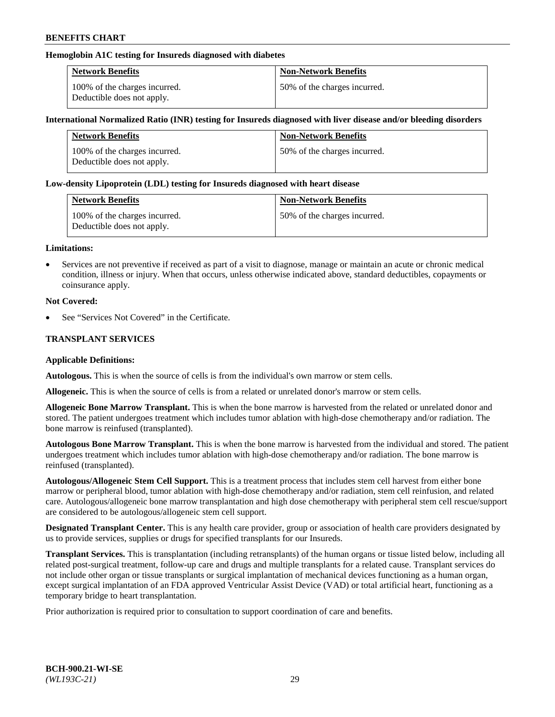## **Hemoglobin A1C testing for Insureds diagnosed with diabetes**

| <b>Network Benefits</b>                                     | <b>Non-Network Benefits</b>  |
|-------------------------------------------------------------|------------------------------|
| 100% of the charges incurred.<br>Deductible does not apply. | 50% of the charges incurred. |

### **International Normalized Ratio (INR) testing for Insureds diagnosed with liver disease and/or bleeding disorders**

| <b>Network Benefits</b>                                     | <b>Non-Network Benefits</b>  |
|-------------------------------------------------------------|------------------------------|
| 100% of the charges incurred.<br>Deductible does not apply. | 50% of the charges incurred. |

### **Low-density Lipoprotein (LDL) testing for Insureds diagnosed with heart disease**

| <b>Network Benefits</b>                                     | <b>Non-Network Benefits</b>  |
|-------------------------------------------------------------|------------------------------|
| 100% of the charges incurred.<br>Deductible does not apply. | 50% of the charges incurred. |

#### **Limitations:**

• Services are not preventive if received as part of a visit to diagnose, manage or maintain an acute or chronic medical condition, illness or injury. When that occurs, unless otherwise indicated above, standard deductibles, copayments or coinsurance apply.

### **Not Covered:**

See "Services Not Covered" in the Certificate.

## **TRANSPLANT SERVICES**

### **Applicable Definitions:**

**Autologous.** This is when the source of cells is from the individual's own marrow or stem cells.

**Allogeneic.** This is when the source of cells is from a related or unrelated donor's marrow or stem cells.

**Allogeneic Bone Marrow Transplant.** This is when the bone marrow is harvested from the related or unrelated donor and stored. The patient undergoes treatment which includes tumor ablation with high-dose chemotherapy and/or radiation. The bone marrow is reinfused (transplanted).

**Autologous Bone Marrow Transplant.** This is when the bone marrow is harvested from the individual and stored. The patient undergoes treatment which includes tumor ablation with high-dose chemotherapy and/or radiation. The bone marrow is reinfused (transplanted).

**Autologous/Allogeneic Stem Cell Support.** This is a treatment process that includes stem cell harvest from either bone marrow or peripheral blood, tumor ablation with high-dose chemotherapy and/or radiation, stem cell reinfusion, and related care. Autologous/allogeneic bone marrow transplantation and high dose chemotherapy with peripheral stem cell rescue/support are considered to be autologous/allogeneic stem cell support.

**Designated Transplant Center.** This is any health care provider, group or association of health care providers designated by us to provide services, supplies or drugs for specified transplants for our Insureds.

**Transplant Services.** This is transplantation (including retransplants) of the human organs or tissue listed below, including all related post-surgical treatment, follow-up care and drugs and multiple transplants for a related cause. Transplant services do not include other organ or tissue transplants or surgical implantation of mechanical devices functioning as a human organ, except surgical implantation of an FDA approved Ventricular Assist Device (VAD) or total artificial heart, functioning as a temporary bridge to heart transplantation.

Prior authorization is required prior to consultation to support coordination of care and benefits.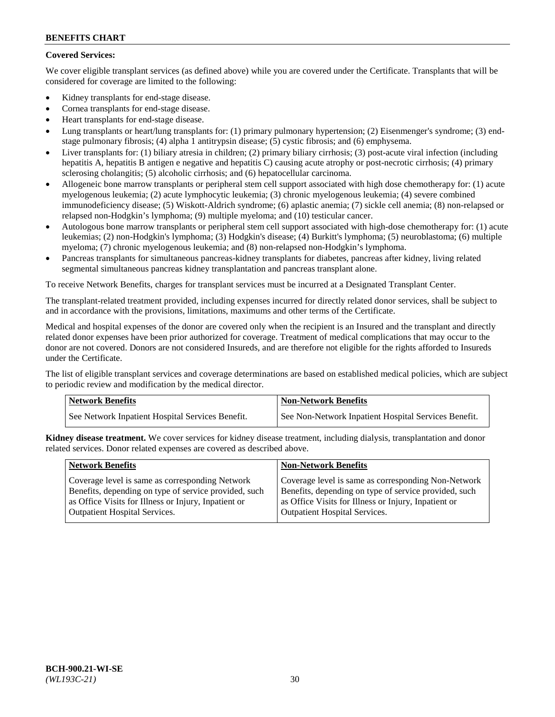# **Covered Services:**

We cover eligible transplant services (as defined above) while you are covered under the Certificate. Transplants that will be considered for coverage are limited to the following:

- Kidney transplants for end-stage disease.
- Cornea transplants for end-stage disease.
- Heart transplants for end-stage disease.
- Lung transplants or heart/lung transplants for: (1) primary pulmonary hypertension; (2) Eisenmenger's syndrome; (3) endstage pulmonary fibrosis; (4) alpha 1 antitrypsin disease; (5) cystic fibrosis; and (6) emphysema.
- Liver transplants for: (1) biliary atresia in children; (2) primary biliary cirrhosis; (3) post-acute viral infection (including hepatitis A, hepatitis B antigen e negative and hepatitis C) causing acute atrophy or post-necrotic cirrhosis; (4) primary sclerosing cholangitis; (5) alcoholic cirrhosis; and (6) hepatocellular carcinoma.
- Allogeneic bone marrow transplants or peripheral stem cell support associated with high dose chemotherapy for: (1) acute myelogenous leukemia; (2) acute lymphocytic leukemia; (3) chronic myelogenous leukemia; (4) severe combined immunodeficiency disease; (5) Wiskott-Aldrich syndrome; (6) aplastic anemia; (7) sickle cell anemia; (8) non-relapsed or relapsed non-Hodgkin's lymphoma; (9) multiple myeloma; and (10) testicular cancer.
- Autologous bone marrow transplants or peripheral stem cell support associated with high-dose chemotherapy for: (1) acute leukemias; (2) non-Hodgkin's lymphoma; (3) Hodgkin's disease; (4) Burkitt's lymphoma; (5) neuroblastoma; (6) multiple myeloma; (7) chronic myelogenous leukemia; and (8) non-relapsed non-Hodgkin's lymphoma.
- Pancreas transplants for simultaneous pancreas-kidney transplants for diabetes, pancreas after kidney, living related segmental simultaneous pancreas kidney transplantation and pancreas transplant alone.

To receive Network Benefits, charges for transplant services must be incurred at a Designated Transplant Center.

The transplant-related treatment provided, including expenses incurred for directly related donor services, shall be subject to and in accordance with the provisions, limitations, maximums and other terms of the Certificate.

Medical and hospital expenses of the donor are covered only when the recipient is an Insured and the transplant and directly related donor expenses have been prior authorized for coverage. Treatment of medical complications that may occur to the donor are not covered. Donors are not considered Insureds, and are therefore not eligible for the rights afforded to Insureds under the Certificate.

The list of eligible transplant services and coverage determinations are based on established medical policies, which are subject to periodic review and modification by the medical director.

| <b>Network Benefits</b>                          | Non-Network Benefits                                 |
|--------------------------------------------------|------------------------------------------------------|
| See Network Inpatient Hospital Services Benefit. | See Non-Network Inpatient Hospital Services Benefit. |

**Kidney disease treatment.** We cover services for kidney disease treatment, including dialysis, transplantation and donor related services. Donor related expenses are covered as described above.

| <b>Network Benefits</b>                               | <b>Non-Network Benefits</b>                           |
|-------------------------------------------------------|-------------------------------------------------------|
| Coverage level is same as corresponding Network       | Coverage level is same as corresponding Non-Network   |
| Benefits, depending on type of service provided, such | Benefits, depending on type of service provided, such |
| as Office Visits for Illness or Injury, Inpatient or  | as Office Visits for Illness or Injury, Inpatient or  |
| <b>Outpatient Hospital Services.</b>                  | Outpatient Hospital Services.                         |